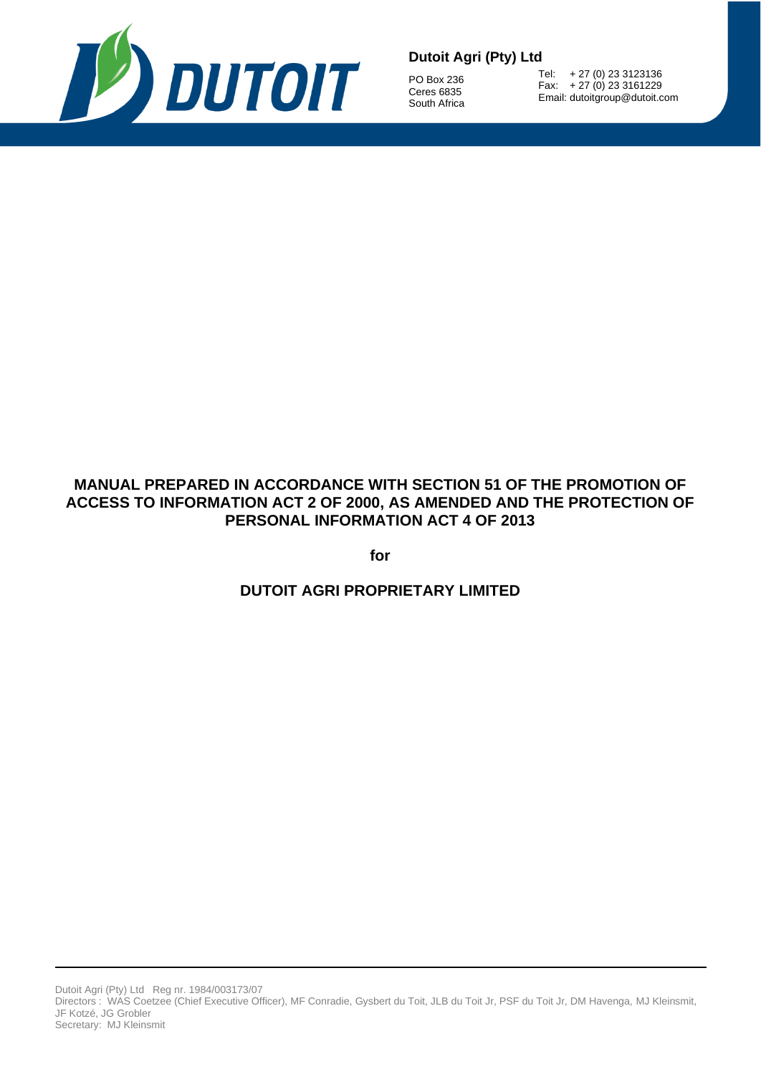

PO Box 236 Ceres 6835 South Africa

Tel: + 27 (0) 23 3123136 Fax: + 27 (0) 23 3161229 Email: dutoitgroup@dutoit.com

# **MANUAL PREPARED IN ACCORDANCE WITH SECTION 51 OF THE PROMOTION OF ACCESS TO INFORMATION ACT 2 OF 2000, AS AMENDED AND THE PROTECTION OF PERSONAL INFORMATION ACT 4 OF 2013**

**for**

**DUTOIT AGRI PROPRIETARY LIMITED**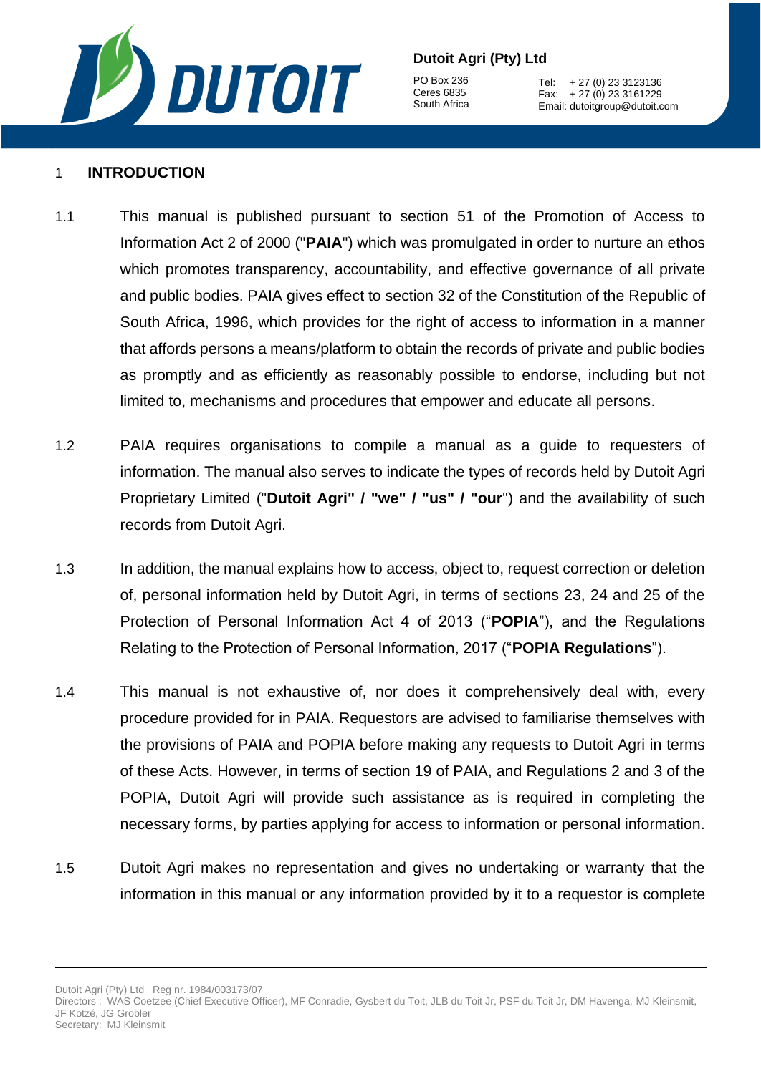

PO Box 236 Ceres 6835 South Africa

Tel: + 27 (0) 23 3123136 Fax: + 27 (0) 23 3161229 Email: dutoitgroup@dutoit.com

#### 1 **INTRODUCTION**

- 1.1 This manual is published pursuant to section 51 of the Promotion of Access to Information Act 2 of 2000 ("**PAIA**") which was promulgated in order to nurture an ethos which promotes transparency, accountability, and effective governance of all private and public bodies. PAIA gives effect to section 32 of the Constitution of the Republic of South Africa, 1996, which provides for the right of access to information in a manner that affords persons a means/platform to obtain the records of private and public bodies as promptly and as efficiently as reasonably possible to endorse, including but not limited to, mechanisms and procedures that empower and educate all persons.
- 1.2 PAIA requires organisations to compile a manual as a guide to requesters of information. The manual also serves to indicate the types of records held by Dutoit Agri Proprietary Limited ("**Dutoit Agri" / "we" / "us" / "our**") and the availability of such records from Dutoit Agri.
- 1.3 In addition, the manual explains how to access, object to, request correction or deletion of, personal information held by Dutoit Agri, in terms of sections 23, 24 and 25 of the Protection of Personal Information Act 4 of 2013 ("**POPIA**"), and the Regulations Relating to the Protection of Personal Information, 2017 ("**POPIA Regulations**").
- 1.4 This manual is not exhaustive of, nor does it comprehensively deal with, every procedure provided for in PAIA. Requestors are advised to familiarise themselves with the provisions of PAIA and POPIA before making any requests to Dutoit Agri in terms of these Acts. However, in terms of section 19 of PAIA, and Regulations 2 and 3 of the POPIA, Dutoit Agri will provide such assistance as is required in completing the necessary forms, by parties applying for access to information or personal information.
- 1.5 Dutoit Agri makes no representation and gives no undertaking or warranty that the information in this manual or any information provided by it to a requestor is complete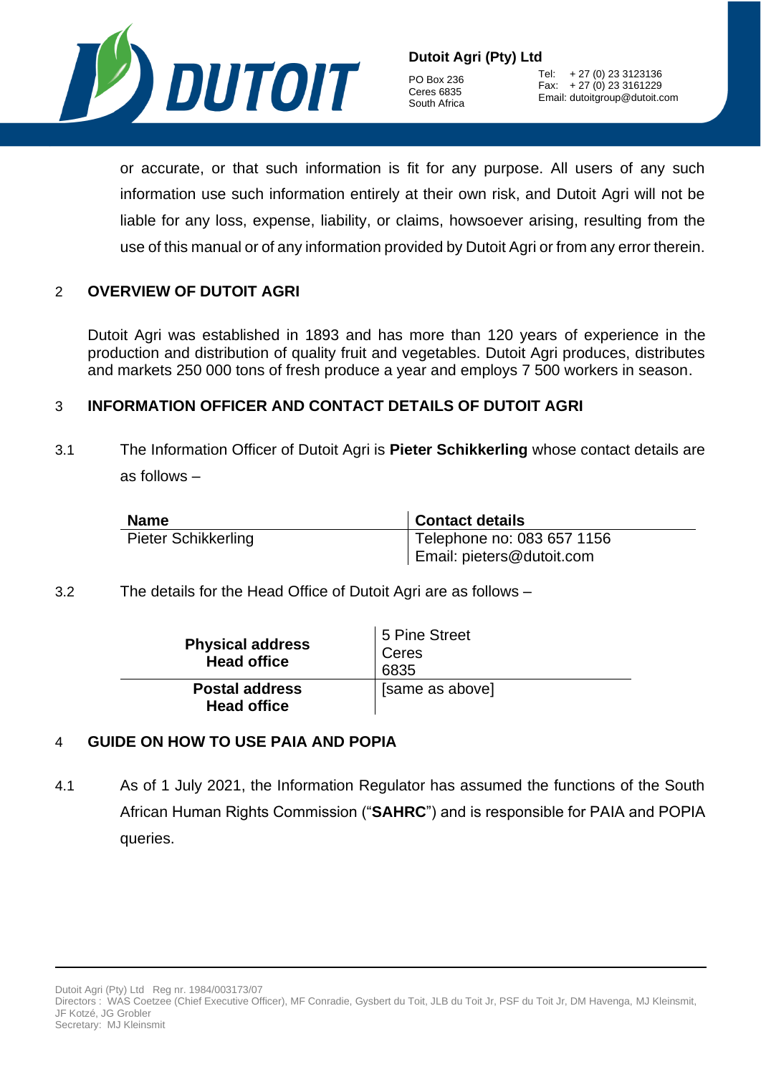

PO Box 236 Ceres 6835 South Africa

Tel: + 27 (0) 23 3123136 Fax: + 27 (0) 23 3161229 Email: dutoitgroup@dutoit.com

or accurate, or that such information is fit for any purpose. All users of any such information use such information entirely at their own risk, and Dutoit Agri will not be liable for any loss, expense, liability, or claims, howsoever arising, resulting from the use of this manual or of any information provided by Dutoit Agri or from any error therein.

#### 2 **OVERVIEW OF DUTOIT AGRI**

Dutoit Agri was established in 1893 and has more than 120 years of experience in the production and distribution of quality fruit and vegetables. Dutoit Agri produces, distributes and markets 250 000 tons of fresh produce a year and employs 7 500 workers in season.

#### 3 **INFORMATION OFFICER AND CONTACT DETAILS OF DUTOIT AGRI**

<span id="page-2-0"></span>3.1 The Information Officer of Dutoit Agri is **Pieter Schikkerling** whose contact details are as follows –

| <b>Name</b>                | <b>Contact details</b>     |
|----------------------------|----------------------------|
| <b>Pieter Schikkerling</b> | Telephone no: 083 657 1156 |
|                            | Email: pieters@dutoit.com  |

<span id="page-2-1"></span>3.2 The details for the Head Office of Dutoit Agri are as follows –

| <b>Physical address</b><br><b>Head office</b> | 5 Pine Street<br>Ceres<br>6835 |
|-----------------------------------------------|--------------------------------|
| <b>Postal address</b><br><b>Head office</b>   | [same as above]                |

#### 4 **GUIDE ON HOW TO USE PAIA AND POPIA**

4.1 As of 1 July 2021, the Information Regulator has assumed the functions of the South African Human Rights Commission ("**SAHRC**") and is responsible for PAIA and POPIA queries.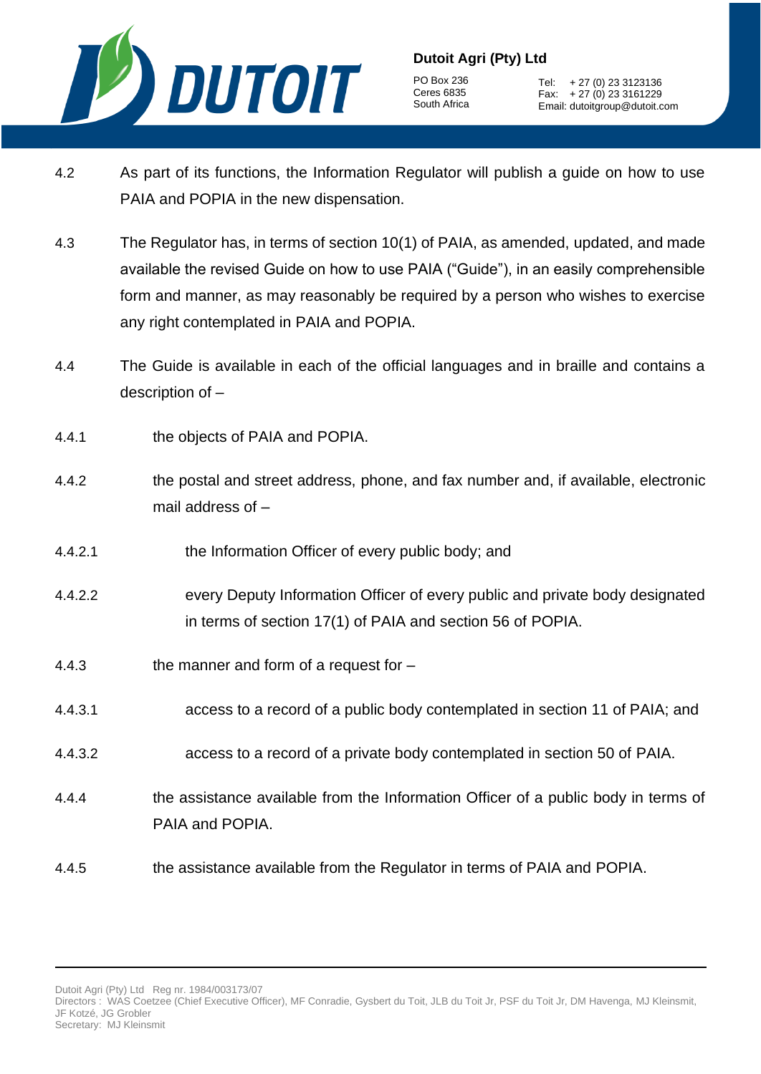

PO Box 236 Ceres 6835 South Africa

Tel: + 27 (0) 23 3123136 Fax:  $+27(0)233161229$ Email: dutoitgroup@dutoit.com

- 4.2 As part of its functions, the Information Regulator will publish a guide on how to use PAIA and POPIA in the new dispensation.
- 4.3 The Regulator has, in terms of section 10(1) of PAIA, as amended, updated, and made available the revised Guide on how to use PAIA ("Guide"), in an easily comprehensible form and manner, as may reasonably be required by a person who wishes to exercise any right contemplated in PAIA and POPIA.
- 4.4 The Guide is available in each of the official languages and in braille and contains a description of –
- 4.4.1 the objects of PAIA and POPIA.
- 4.4.2 the postal and street address, phone, and fax number and, if available, electronic mail address of –
- 4.4.2.1 the Information Officer of every public body; and
- 4.4.2.2 every Deputy Information Officer of every public and private body designated in terms of section 17(1) of PAIA and section 56 of POPIA.
- 4.4.3 the manner and form of a request for –
- 4.4.3.1 access to a record of a public body contemplated in section 11 of PAIA; and
- 4.4.3.2 access to a record of a private body contemplated in section 50 of PAIA.
- 4.4.4 the assistance available from the Information Officer of a public body in terms of PAIA and POPIA.
- 4.4.5 the assistance available from the Regulator in terms of PAIA and POPIA.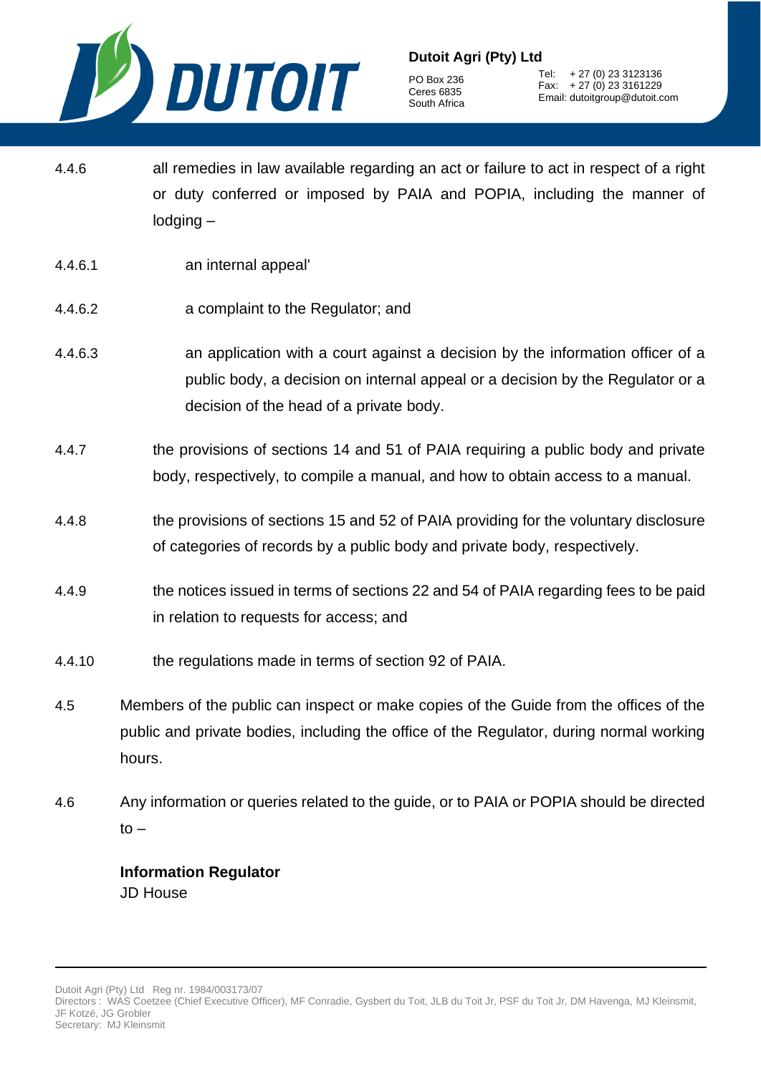

PO Box 236 Ceres 6835 South Africa

Tel: + 27 (0) 23 3123136 Fax: + 27 (0) 23 3161229 Email: dutoitgroup@dutoit.com

- 4.4.6 all remedies in law available regarding an act or failure to act in respect of a right or duty conferred or imposed by PAIA and POPIA, including the manner of lodging –
- 4.4.6.1 an internal appeal'
- 4.4.6.2 a complaint to the Regulator; and
- 4.4.6.3 an application with a court against a decision by the information officer of a public body, a decision on internal appeal or a decision by the Regulator or a decision of the head of a private body.
- 4.4.7 the provisions of sections 14 and 51 of PAIA requiring a public body and private body, respectively, to compile a manual, and how to obtain access to a manual.
- 4.4.8 the provisions of sections 15 and 52 of PAIA providing for the voluntary disclosure of categories of records by a public body and private body, respectively.
- 4.4.9 the notices issued in terms of sections 22 and 54 of PAIA regarding fees to be paid in relation to requests for access; and
- 4.4.10 the regulations made in terms of section 92 of PAIA.
- 4.5 Members of the public can inspect or make copies of the Guide from the offices of the public and private bodies, including the office of the Regulator, during normal working hours.
- 4.6 Any information or queries related to the guide, or to PAIA or POPIA should be directed  $to -$

## **Information Regulator**  JD House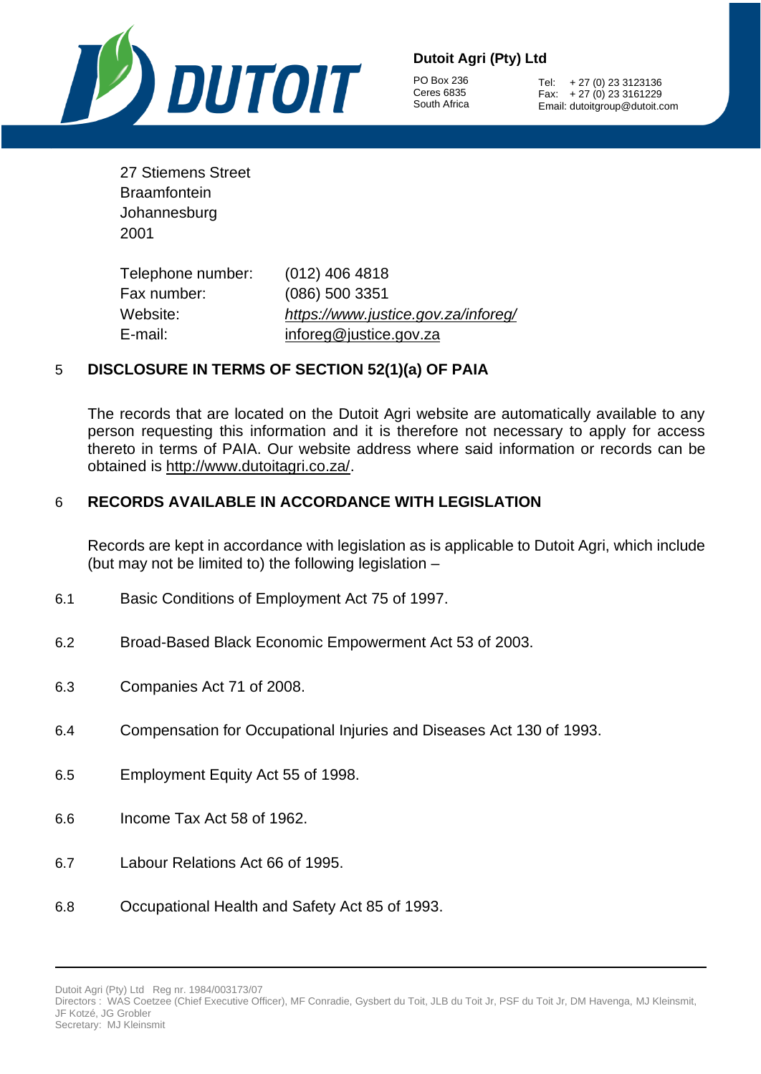

PO Box 236 Ceres 6835 South Africa

Tel: + 27 (0) 23 3123136 Fax: + 27 (0) 23 3161229 Email: dutoitgroup@dutoit.com

| 27 Stiemens Street |
|--------------------|
| Braamfontein       |
| Johannesburg       |
| 2001               |

Telephone number: (012) 406 4818 Fax number: (086) 500 3351 Website: *<https://www.justice.gov.za/inforeg/>* E-mail: [inforeg@justice.gov.za](mailto:inforeg@justice.gov.za)

#### 5 **DISCLOSURE IN TERMS OF SECTION 52(1)(a) OF PAIA**

The records that are located on the Dutoit Agri website are automatically available to any person requesting this information and it is therefore not necessary to apply for access thereto in terms of PAIA. Our website address where said information or records can be obtained is [http://www.dutoitagri.co.za/.](http://www.dutoitagri.co.za/)

#### 6 **RECORDS AVAILABLE IN ACCORDANCE WITH LEGISLATION**

Records are kept in accordance with legislation as is applicable to Dutoit Agri, which include (but may not be limited to) the following legislation –

- 6.1 Basic Conditions of Employment Act 75 of 1997.
- 6.2 Broad-Based Black Economic Empowerment Act 53 of 2003.
- 6.3 Companies Act 71 of 2008.
- 6.4 Compensation for Occupational Injuries and Diseases Act 130 of 1993.
- 6.5 Employment Equity Act 55 of 1998.
- 6.6 Income Tax Act 58 of 1962.
- 6.7 Labour Relations Act 66 of 1995.
- 6.8 Occupational Health and Safety Act 85 of 1993.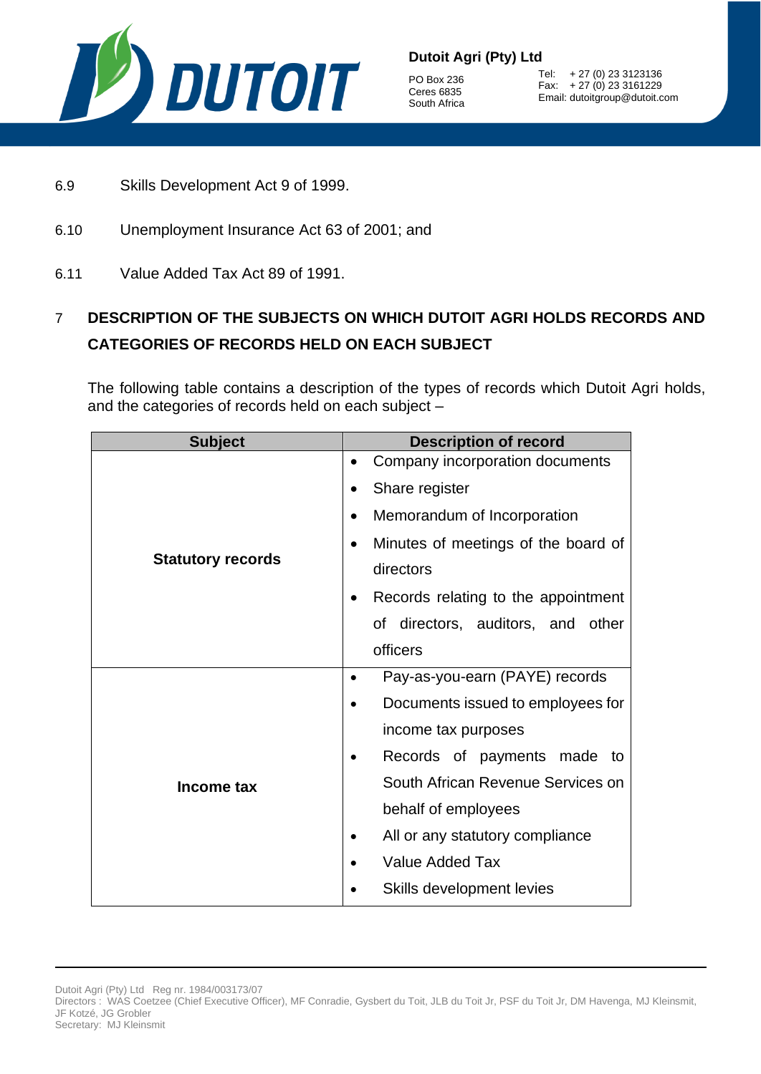

PO Box 236 Ceres 6835 South Africa

Tel: + 27 (0) 23 3123136 Fax: + 27 (0) 23 3161229 Email: dutoitgroup@dutoit.com

- 6.9 Skills Development Act 9 of 1999.
- 6.10 Unemployment Insurance Act 63 of 2001; and
- 6.11 Value Added Tax Act 89 of 1991.

# 7 **DESCRIPTION OF THE SUBJECTS ON WHICH DUTOIT AGRI HOLDS RECORDS AND CATEGORIES OF RECORDS HELD ON EACH SUBJECT**

The following table contains a description of the types of records which Dutoit Agri holds, and the categories of records held on each subject –

| <b>Subject</b><br><b>Description of record</b> |                                              |  |
|------------------------------------------------|----------------------------------------------|--|
|                                                | Company incorporation documents<br>$\bullet$ |  |
|                                                | Share register                               |  |
|                                                | Memorandum of Incorporation                  |  |
|                                                | Minutes of meetings of the board of          |  |
| <b>Statutory records</b>                       | directors                                    |  |
|                                                | Records relating to the appointment          |  |
|                                                | of directors, auditors, and other            |  |
|                                                | officers                                     |  |
|                                                | Pay-as-you-earn (PAYE) records               |  |
|                                                | Documents issued to employees for            |  |
|                                                | income tax purposes                          |  |
|                                                | Records of payments made to                  |  |
| Income tax                                     | South African Revenue Services on            |  |
|                                                | behalf of employees                          |  |
|                                                | All or any statutory compliance              |  |
|                                                | <b>Value Added Tax</b>                       |  |
|                                                | Skills development levies                    |  |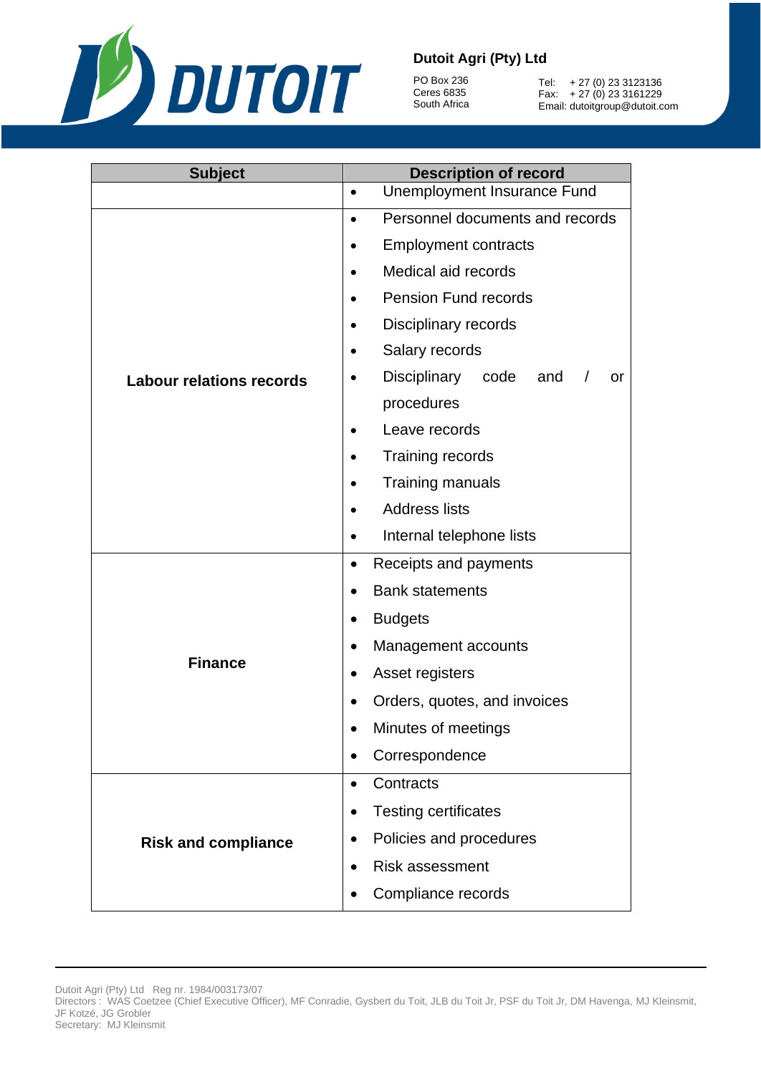

PO Box 236 Ceres 6835 South Africa

Tel: + 27 (0) 23 3123136 Fax: + 27 (0) 23 3161229 Email: dutoitgroup@dutoit.com

| <b>Subject</b>                  | <b>Description of record</b>                  |  |  |  |  |
|---------------------------------|-----------------------------------------------|--|--|--|--|
|                                 | Unemployment Insurance Fund<br>$\bullet$      |  |  |  |  |
|                                 | Personnel documents and records<br>$\bullet$  |  |  |  |  |
|                                 | <b>Employment contracts</b>                   |  |  |  |  |
|                                 | Medical aid records<br>$\bullet$              |  |  |  |  |
|                                 | <b>Pension Fund records</b>                   |  |  |  |  |
|                                 | Disciplinary records                          |  |  |  |  |
|                                 | Salary records                                |  |  |  |  |
| <b>Labour relations records</b> | Disciplinary<br>code<br>and<br>or<br>$\prime$ |  |  |  |  |
|                                 | procedures                                    |  |  |  |  |
|                                 | Leave records                                 |  |  |  |  |
|                                 | <b>Training records</b>                       |  |  |  |  |
|                                 | Training manuals                              |  |  |  |  |
|                                 | <b>Address lists</b>                          |  |  |  |  |
|                                 | Internal telephone lists                      |  |  |  |  |
|                                 | Receipts and payments<br>$\bullet$            |  |  |  |  |
|                                 | <b>Bank statements</b><br>$\bullet$           |  |  |  |  |
|                                 | <b>Budgets</b>                                |  |  |  |  |
|                                 | Management accounts<br>$\bullet$              |  |  |  |  |
| <b>Finance</b>                  | Asset registers                               |  |  |  |  |
|                                 | Orders, quotes, and invoices                  |  |  |  |  |
|                                 | Minutes of meetings                           |  |  |  |  |
|                                 | Correspondence                                |  |  |  |  |
|                                 | Contracts<br>٠                                |  |  |  |  |
|                                 | <b>Testing certificates</b>                   |  |  |  |  |
| <b>Risk and compliance</b>      | Policies and procedures                       |  |  |  |  |
|                                 | <b>Risk assessment</b>                        |  |  |  |  |
|                                 | Compliance records                            |  |  |  |  |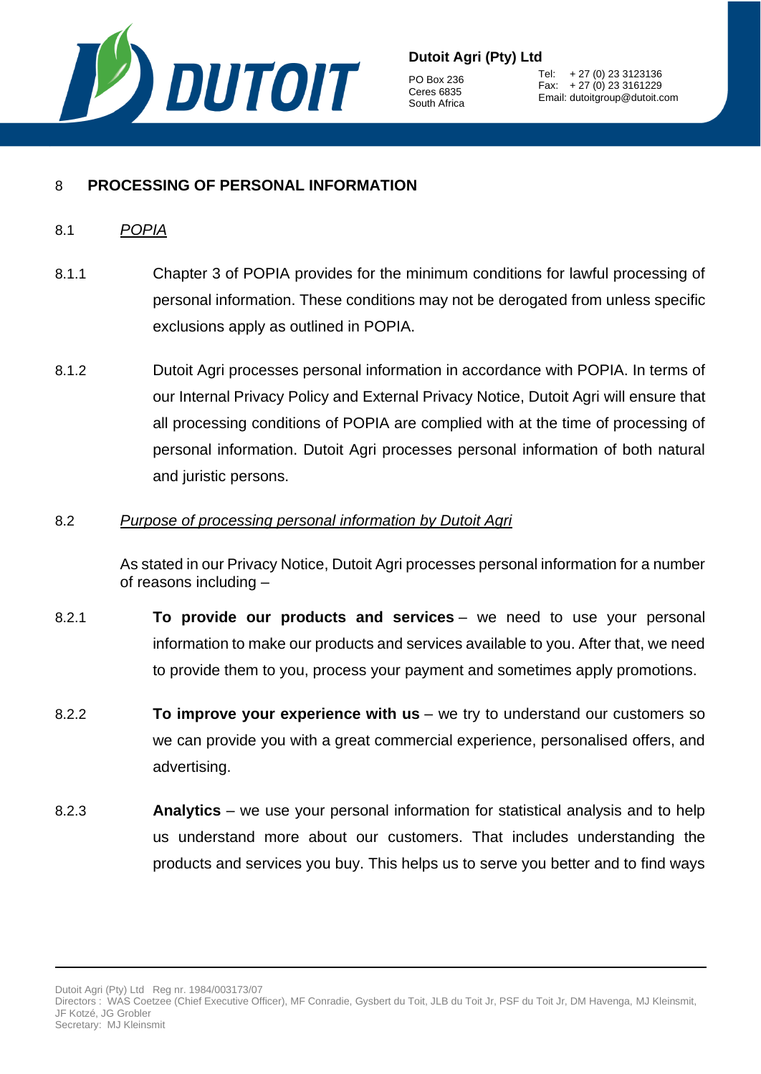

PO Box 236 Ceres 6835 South Africa

Tel: + 27 (0) 23 3123136 Fax: + 27 (0) 23 3161229 Email: dutoitgroup@dutoit.com

## 8 **PROCESSING OF PERSONAL INFORMATION**

- 8.1 *POPIA*
- 8.1.1 Chapter 3 of POPIA provides for the minimum conditions for lawful processing of personal information. These conditions may not be derogated from unless specific exclusions apply as outlined in POPIA.
- 8.1.2 Dutoit Agri processes personal information in accordance with POPIA. In terms of our Internal Privacy Policy and External Privacy Notice, Dutoit Agri will ensure that all processing conditions of POPIA are complied with at the time of processing of personal information. Dutoit Agri processes personal information of both natural and juristic persons.

#### 8.2 *Purpose of processing personal information by Dutoit Agri*

As stated in our Privacy Notice, Dutoit Agri processes personal information for a number of reasons including –

- 8.2.1 **To provide our products and services** we need to use your personal information to make our products and services available to you. After that, we need to provide them to you, process your payment and sometimes apply promotions.
- 8.2.2 **To improve your experience with us** we try to understand our customers so we can provide you with a great commercial experience, personalised offers, and advertising.
- 8.2.3 **Analytics**  we use your personal information for statistical analysis and to help us understand more about our customers. That includes understanding the products and services you buy. This helps us to serve you better and to find ways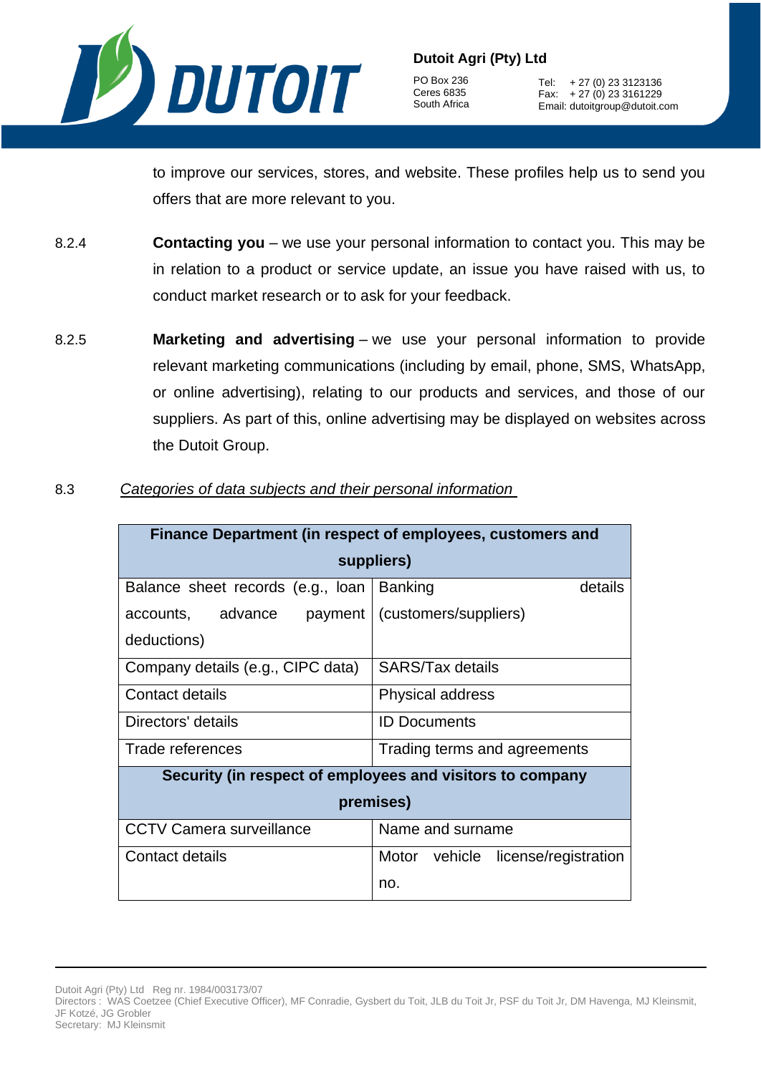

PO Box 236 Ceres 6835 South Africa

Tel: + 27 (0) 23 3123136 Fax: + 27 (0) 23 3161229 Email: dutoitgroup@dutoit.com

to improve our services, stores, and website. These profiles help us to send you offers that are more relevant to you.

- 8.2.4 **Contacting you** we use your personal information to contact you. This may be in relation to a product or service update, an issue you have raised with us, to conduct market research or to ask for your feedback.
- 8.2.5 **Marketing and advertising** we use your personal information to provide relevant marketing communications (including by email, phone, SMS, WhatsApp, or online advertising), relating to our products and services, and those of our suppliers. As part of this, online advertising may be displayed on websites across the Dutoit Group.

| Finance Department (in respect of employees, customers and |                                    |  |
|------------------------------------------------------------|------------------------------------|--|
|                                                            | suppliers)                         |  |
| Balance sheet records (e.g., loan                          | <b>Banking</b><br>details          |  |
| accounts, advance<br>payment                               | (customers/suppliers)              |  |
| deductions)                                                |                                    |  |
| Company details (e.g., CIPC data)                          | SARS/Tax details                   |  |
| Contact details                                            | Physical address                   |  |
| Directors' details                                         | <b>ID Documents</b>                |  |
| Trade references                                           | Trading terms and agreements       |  |
| Security (in respect of employees and visitors to company  |                                    |  |
| premises)                                                  |                                    |  |
| <b>CCTV Camera surveillance</b>                            | Name and surname                   |  |
| Contact details                                            | Motor vehicle license/registration |  |
|                                                            | no.                                |  |

8.3 *Categories of data subjects and their personal information*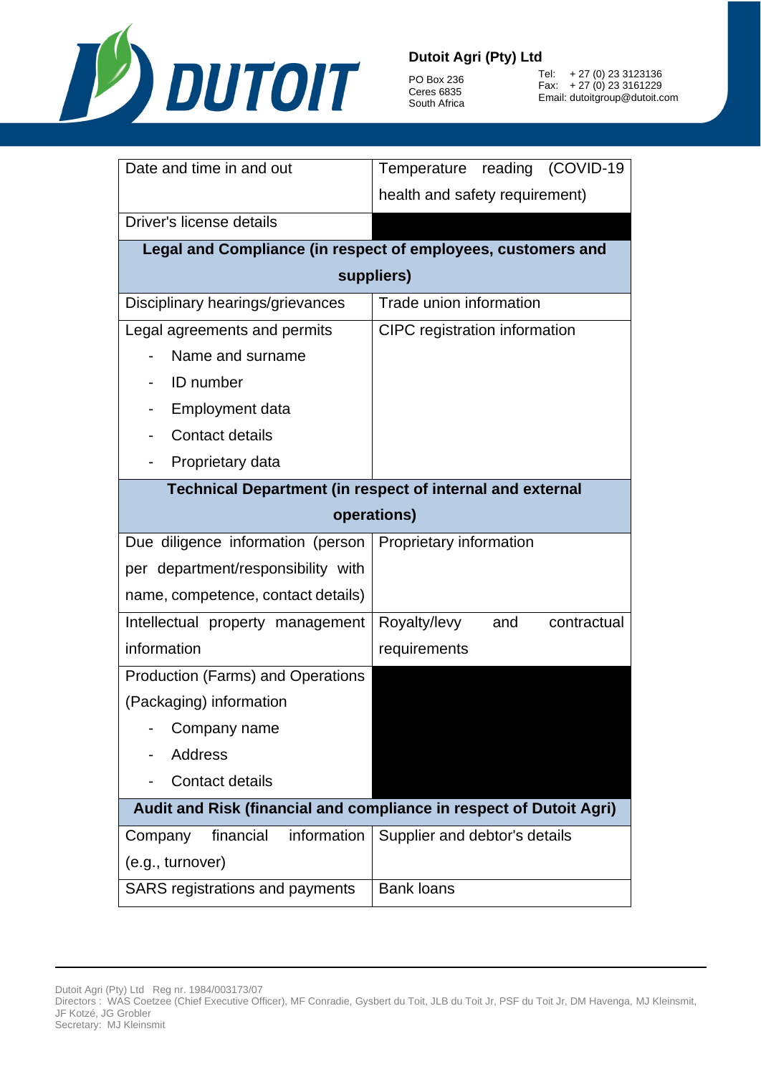

PO Box 236 Ceres 6835 South Africa

Tel: + 27 (0) 23 3123136 Fax: + 27 (0) 23 3161229 Email: dutoitgroup@dutoit.com

| Date and time in and out                                            | Temperature reading (COVID-19                                |  |
|---------------------------------------------------------------------|--------------------------------------------------------------|--|
|                                                                     | health and safety requirement)                               |  |
| Driver's license details                                            |                                                              |  |
|                                                                     | Legal and Compliance (in respect of employees, customers and |  |
|                                                                     | suppliers)                                                   |  |
| Disciplinary hearings/grievances                                    | Trade union information                                      |  |
| Legal agreements and permits                                        | CIPC registration information                                |  |
| Name and surname                                                    |                                                              |  |
| <b>ID</b> number                                                    |                                                              |  |
| Employment data                                                     |                                                              |  |
| <b>Contact details</b>                                              |                                                              |  |
| Proprietary data                                                    |                                                              |  |
| <b>Technical Department (in respect of internal and external</b>    |                                                              |  |
| operations)                                                         |                                                              |  |
| Due diligence information (person                                   | Proprietary information                                      |  |
| per department/responsibility with                                  |                                                              |  |
| name, competence, contact details)                                  |                                                              |  |
| Intellectual property management                                    | Royalty/levy<br>and<br>contractual                           |  |
| information                                                         | requirements                                                 |  |
| Production (Farms) and Operations                                   |                                                              |  |
| (Packaging) information                                             |                                                              |  |
| Company name                                                        |                                                              |  |
| <b>Address</b>                                                      |                                                              |  |
| Contact details                                                     |                                                              |  |
| Audit and Risk (financial and compliance in respect of Dutoit Agri) |                                                              |  |
| financial<br>information<br>Company                                 | Supplier and debtor's details                                |  |
| (e.g., turnover)                                                    |                                                              |  |
| SARS registrations and payments                                     | <b>Bank loans</b>                                            |  |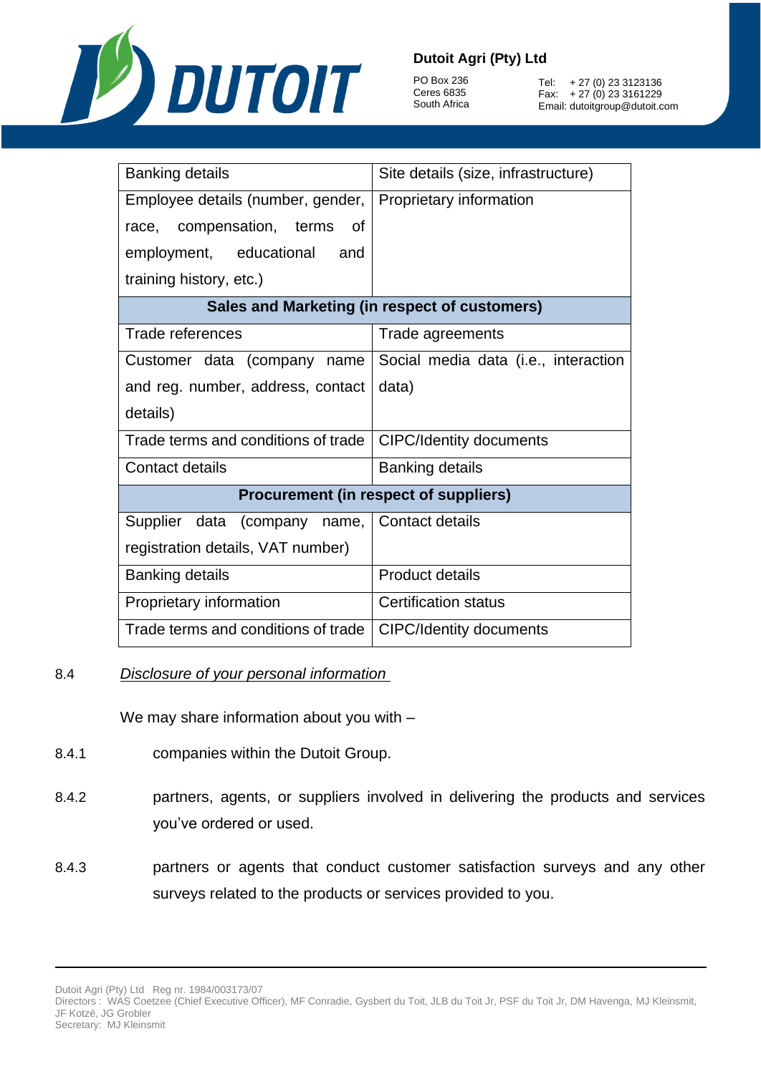

PO Box 236 Ceres 6835 South Africa

Tel: + 27 (0) 23 3123136 Fax: + 27 (0) 23 3161229 Email: dutoitgroup@dutoit.com

| <b>Banking details</b>              | Site details (size, infrastructure)           |
|-------------------------------------|-----------------------------------------------|
| Employee details (number, gender,   | Proprietary information                       |
| race, compensation, terms<br>Ωf     |                                               |
| employment, educational<br>and      |                                               |
| training history, etc.)             |                                               |
|                                     | Sales and Marketing (in respect of customers) |
| Trade references                    | Trade agreements                              |
| Customer data (company name         | Social media data (i.e., interaction          |
| and reg. number, address, contact   | data)                                         |
| details)                            |                                               |
| Trade terms and conditions of trade | <b>CIPC/Identity documents</b>                |
| Contact details                     | <b>Banking details</b>                        |
|                                     | <b>Procurement (in respect of suppliers)</b>  |
| Supplier data (company name,        | Contact details                               |
| registration details, VAT number)   |                                               |
| <b>Banking details</b>              | <b>Product details</b>                        |
| Proprietary information             | <b>Certification status</b>                   |
| Trade terms and conditions of trade | <b>CIPC/Identity documents</b>                |

#### 8.4 *Disclosure of your personal information*

We may share information about you with –

- 8.4.1 companies within the Dutoit Group.
- 8.4.2 partners, agents, or suppliers involved in delivering the products and services you've ordered or used.
- 8.4.3 partners or agents that conduct customer satisfaction surveys and any other surveys related to the products or services provided to you.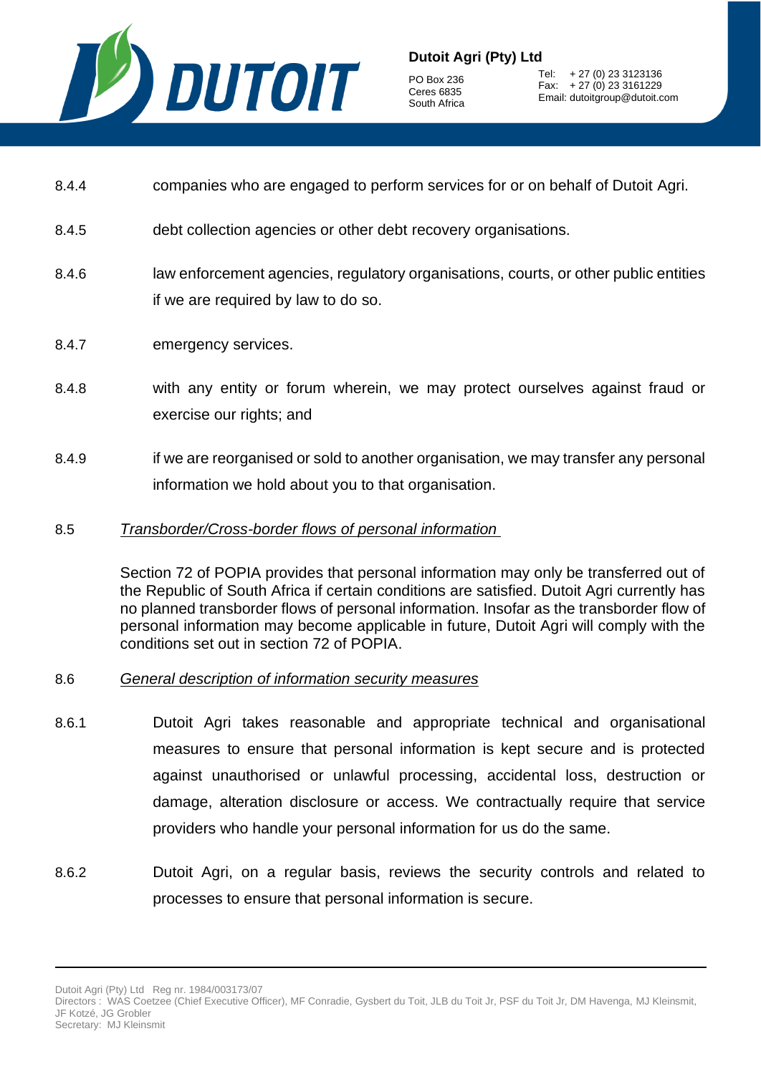

PO Box 236 Ceres 6835 South Africa

Tel: + 27 (0) 23 3123136 Fax: + 27 (0) 23 3161229 Email: dutoitgroup@dutoit.com

- 8.4.4 companies who are engaged to perform services for or on behalf of Dutoit Agri.
- 8.4.5 debt collection agencies or other debt recovery organisations.
- 8.4.6 law enforcement agencies, regulatory organisations, courts, or other public entities if we are required by law to do so.
- 8.4.7 emergency services.
- 8.4.8 with any entity or forum wherein, we may protect ourselves against fraud or exercise our rights; and
- 8.4.9 if we are reorganised or sold to another organisation, we may transfer any personal information we hold about you to that organisation.
- 8.5 *Transborder/Cross-border flows of personal information*

Section 72 of POPIA provides that personal information may only be transferred out of the Republic of South Africa if certain conditions are satisfied. Dutoit Agri currently has no planned transborder flows of personal information. Insofar as the transborder flow of personal information may become applicable in future, Dutoit Agri will comply with the conditions set out in section 72 of POPIA.

#### 8.6 *General description of information security measures*

- 8.6.1 Dutoit Agri takes reasonable and appropriate technical and organisational measures to ensure that personal information is kept secure and is protected against unauthorised or unlawful processing, accidental loss, destruction or damage, alteration disclosure or access. We contractually require that service providers who handle your personal information for us do the same.
- 8.6.2 Dutoit Agri, on a regular basis, reviews the security controls and related to processes to ensure that personal information is secure.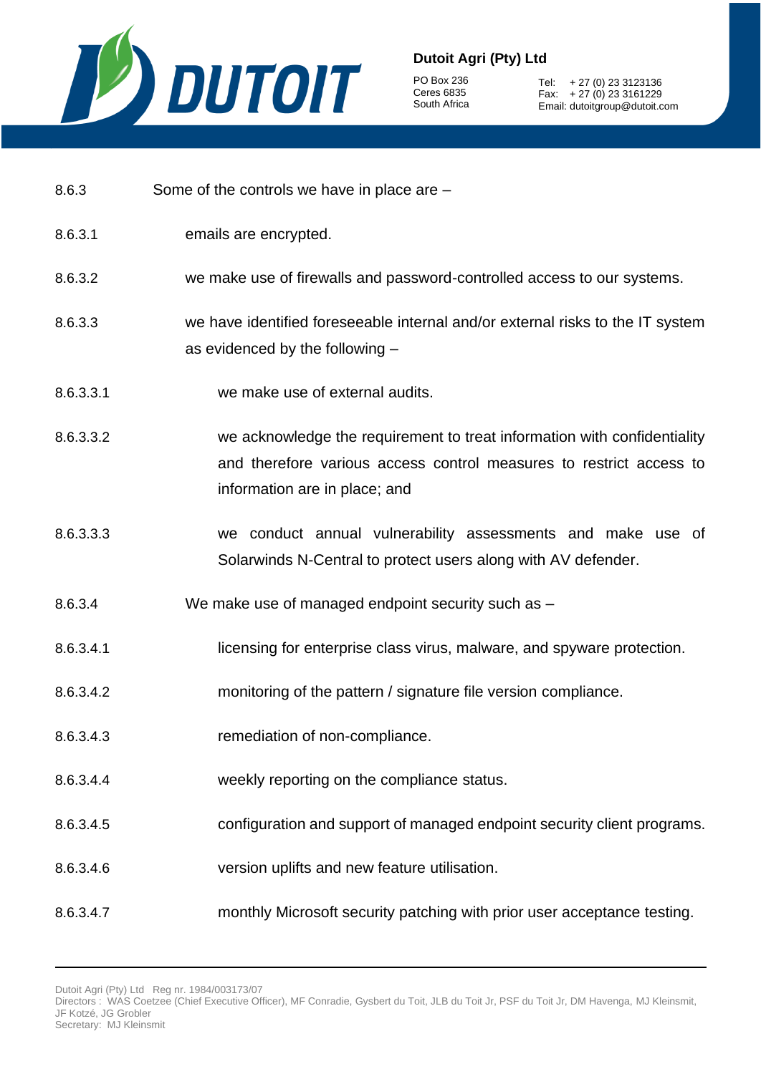

PO Box 236 Ceres 6835 South Africa

Tel: + 27 (0) 23 3123136 Fax: + 27 (0) 23 3161229 Email: dutoitgroup@dutoit.com

- 8.6.3 Some of the controls we have in place are –
- 8.6.3.1 emails are encrypted.
- 8.6.3.2 we make use of firewalls and password-controlled access to our systems.
- 8.6.3.3 we have identified foreseeable internal and/or external risks to the IT system as evidenced by the following –
- 8.6.3.3.1 we make use of external audits.
- 8.6.3.3.2 we acknowledge the requirement to treat information with confidentiality and therefore various access control measures to restrict access to information are in place; and
- 8.6.3.3.3 we conduct annual vulnerability assessments and make use of Solarwinds N-Central to protect users along with AV defender.
- 8.6.3.4 We make use of managed endpoint security such as –
- 8.6.3.4.1 licensing for enterprise class virus, malware, and spyware protection.
- 8.6.3.4.2 monitoring of the pattern / signature file version compliance.
- 8.6.3.4.3 remediation of non-compliance.
- 8.6.3.4.4 weekly reporting on the compliance status.
- 8.6.3.4.5 configuration and support of managed endpoint security client programs.
- 8.6.3.4.6 version uplifts and new feature utilisation.
- 8.6.3.4.7 monthly Microsoft security patching with prior user acceptance testing.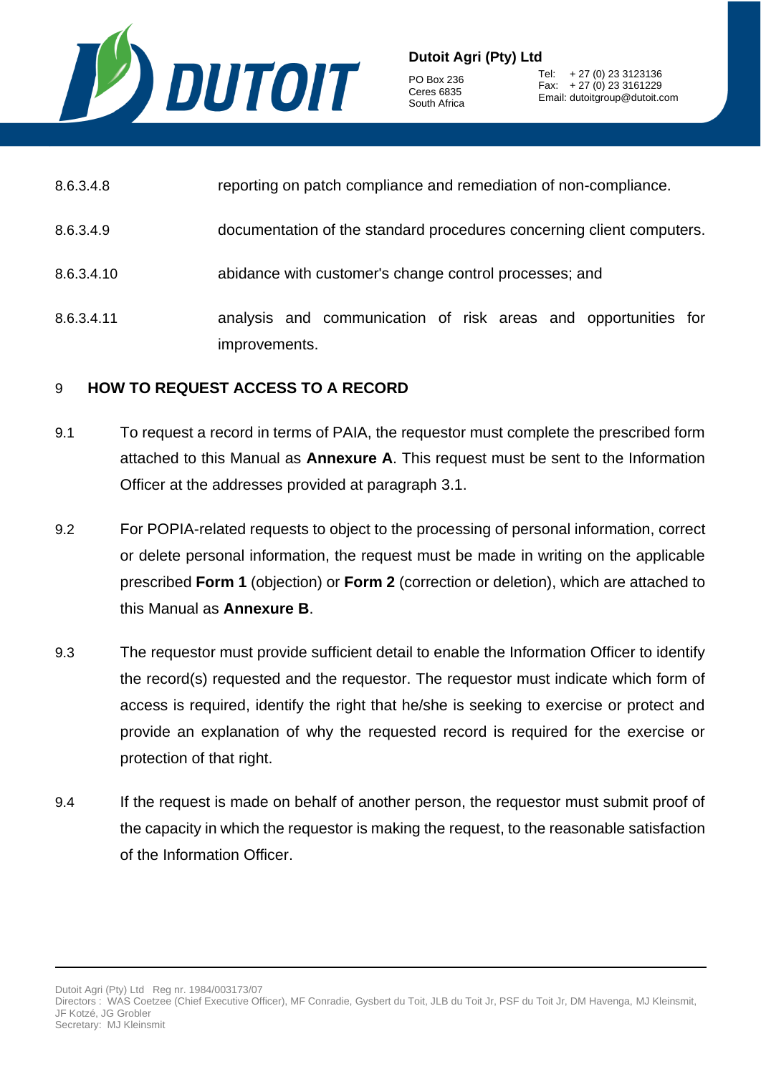

PO Box 236 Ceres 6835 South Africa

Tel: + 27 (0) 23 3123136 Fax: + 27 (0) 23 3161229 Email: dutoitgroup@dutoit.com

- 8.6.3.4.9 documentation of the standard procedures concerning client computers.
- 8.6.3.4.10 abidance with customer's change control processes; and
- 8.6.3.4.11 analysis and communication of risk areas and opportunities for improvements.

#### 9 **HOW TO REQUEST ACCESS TO A RECORD**

- 9.1 To request a record in terms of PAIA, the requestor must complete the prescribed form attached to this Manual as **Annexure A**. This request must be sent to the Information Officer at the addresses provided at paragraph [3.1.](#page-2-0)
- 9.2 For POPIA-related requests to object to the processing of personal information, correct or delete personal information, the request must be made in writing on the applicable prescribed **Form 1** (objection) or **Form 2** (correction or deletion), which are attached to this Manual as **Annexure B**.
- 9.3 The requestor must provide sufficient detail to enable the Information Officer to identify the record(s) requested and the requestor. The requestor must indicate which form of access is required, identify the right that he/she is seeking to exercise or protect and provide an explanation of why the requested record is required for the exercise or protection of that right.
- 9.4 If the request is made on behalf of another person, the requestor must submit proof of the capacity in which the requestor is making the request, to the reasonable satisfaction of the Information Officer.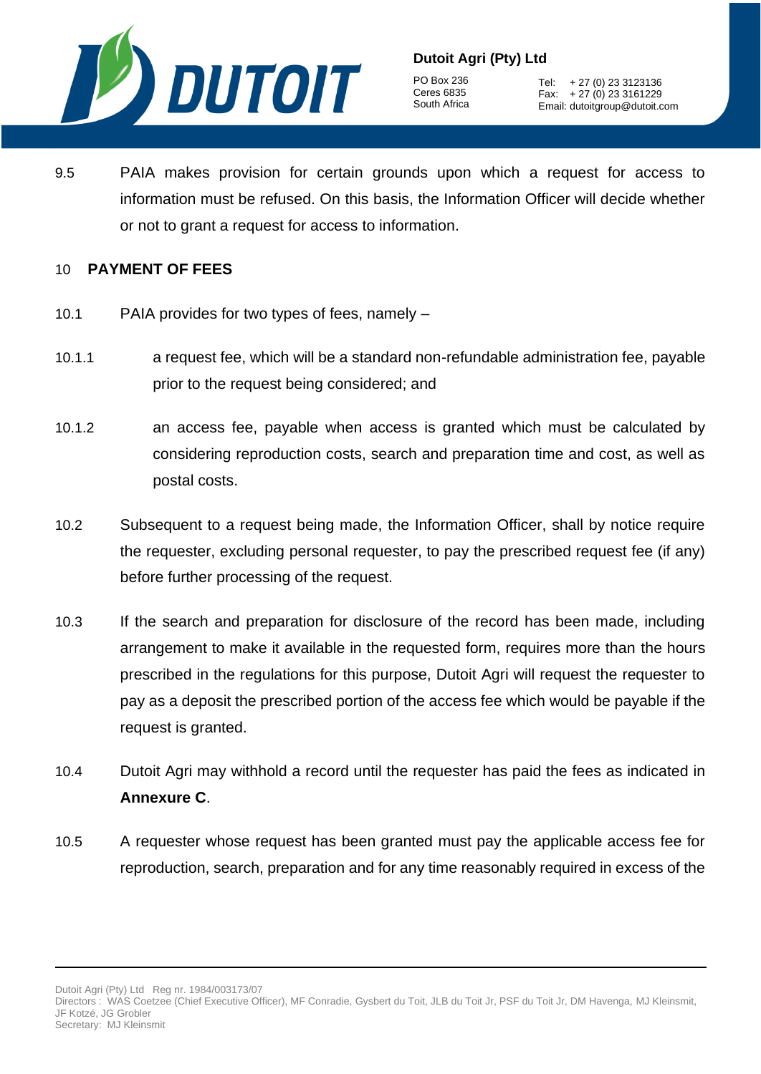

PO Box 236 Ceres 6835 South Africa

Tel: + 27 (0) 23 3123136 Fax: + 27 (0) 23 3161229 Email: dutoitgroup@dutoit.com

9.5 PAIA makes provision for certain grounds upon which a request for access to information must be refused. On this basis, the Information Officer will decide whether or not to grant a request for access to information.

#### 10 **PAYMENT OF FEES**

- 10.1 PAIA provides for two types of fees, namely –
- 10.1.1 a request fee, which will be a standard non-refundable administration fee, payable prior to the request being considered; and
- 10.1.2 an access fee, payable when access is granted which must be calculated by considering reproduction costs, search and preparation time and cost, as well as postal costs.
- 10.2 Subsequent to a request being made, the Information Officer, shall by notice require the requester, excluding personal requester, to pay the prescribed request fee (if any) before further processing of the request.
- 10.3 If the search and preparation for disclosure of the record has been made, including arrangement to make it available in the requested form, requires more than the hours prescribed in the regulations for this purpose, Dutoit Agri will request the requester to pay as a deposit the prescribed portion of the access fee which would be payable if the request is granted.
- 10.4 Dutoit Agri may withhold a record until the requester has paid the fees as indicated in **Annexure C**.
- 10.5 A requester whose request has been granted must pay the applicable access fee for reproduction, search, preparation and for any time reasonably required in excess of the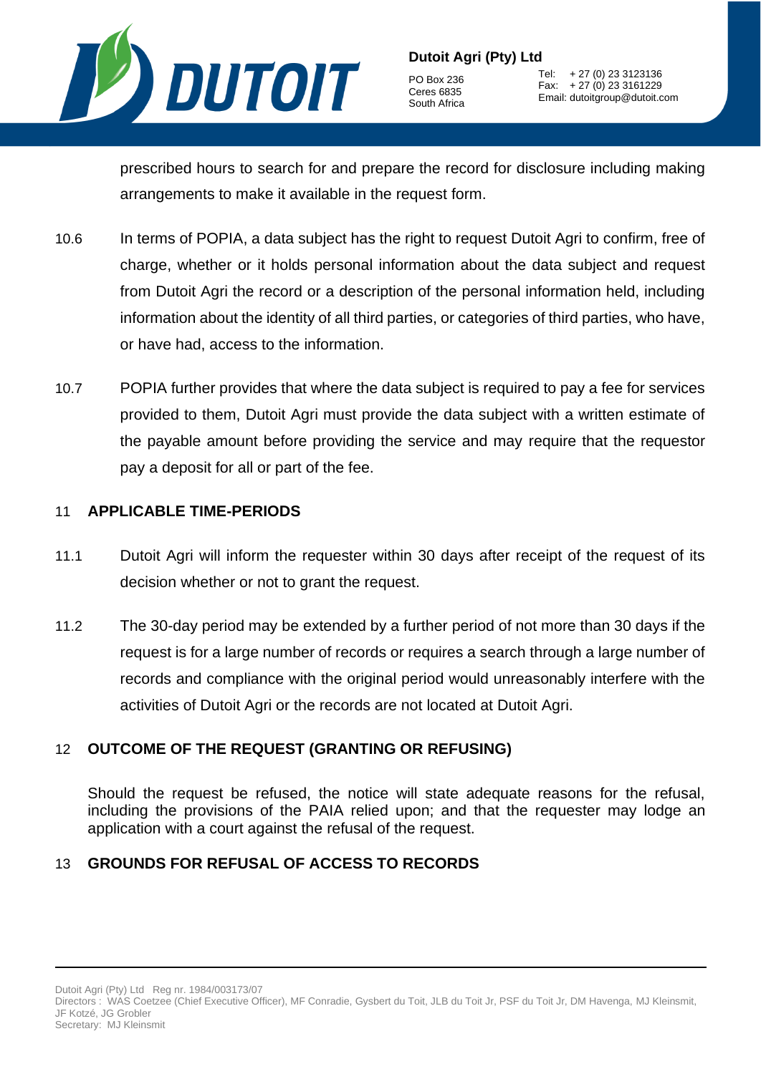

PO Box 236 Ceres 6835 South Africa

Tel: + 27 (0) 23 3123136 Fax: + 27 (0) 23 3161229 Email: dutoitgroup@dutoit.com

prescribed hours to search for and prepare the record for disclosure including making arrangements to make it available in the request form.

- 10.6 In terms of POPIA, a data subject has the right to request Dutoit Agri to confirm, free of charge, whether or it holds personal information about the data subject and request from Dutoit Agri the record or a description of the personal information held, including information about the identity of all third parties, or categories of third parties, who have, or have had, access to the information.
- 10.7 POPIA further provides that where the data subject is required to pay a fee for services provided to them, Dutoit Agri must provide the data subject with a written estimate of the payable amount before providing the service and may require that the requestor pay a deposit for all or part of the fee.

#### 11 **APPLICABLE TIME-PERIODS**

- 11.1 Dutoit Agri will inform the requester within 30 days after receipt of the request of its decision whether or not to grant the request.
- 11.2 The 30-day period may be extended by a further period of not more than 30 days if the request is for a large number of records or requires a search through a large number of records and compliance with the original period would unreasonably interfere with the activities of Dutoit Agri or the records are not located at Dutoit Agri.

## 12 **OUTCOME OF THE REQUEST (GRANTING OR REFUSING)**

Should the request be refused, the notice will state adequate reasons for the refusal, including the provisions of the PAIA relied upon; and that the requester may lodge an application with a court against the refusal of the request.

## 13 **GROUNDS FOR REFUSAL OF ACCESS TO RECORDS**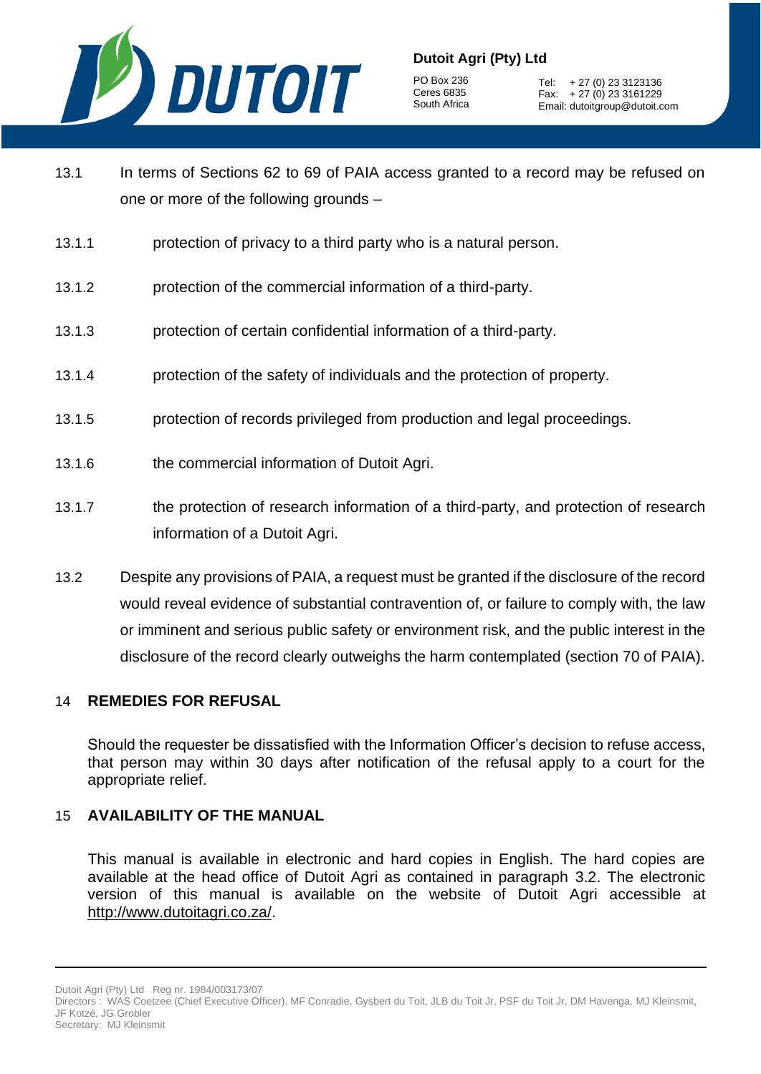

PO Box 236 Ceres 6835 South Africa

Tel: + 27 (0) 23 3123136 Fax: + 27 (0) 23 3161229 Email: dutoitgroup@dutoit.com

- 13.1 In terms of Sections 62 to 69 of PAIA access granted to a record may be refused on one or more of the following grounds –
- 13.1.1 protection of privacy to a third party who is a natural person.
- 13.1.2 protection of the commercial information of a third-party.
- 13.1.3 protection of certain confidential information of a third-party.
- 13.1.4 protection of the safety of individuals and the protection of property.
- 13.1.5 protection of records privileged from production and legal proceedings.
- 13.1.6 the commercial information of Dutoit Agri.
- 13.1.7 the protection of research information of a third-party, and protection of research information of a Dutoit Agri.
- 13.2 Despite any provisions of PAIA, a request must be granted if the disclosure of the record would reveal evidence of substantial contravention of, or failure to comply with, the law or imminent and serious public safety or environment risk, and the public interest in the disclosure of the record clearly outweighs the harm contemplated (section 70 of PAIA).

#### 14 **REMEDIES FOR REFUSAL**

Should the requester be dissatisfied with the Information Officer's decision to refuse access, that person may within 30 days after notification of the refusal apply to a court for the appropriate relief.

#### 15 **AVAILABILITY OF THE MANUAL**

This manual is available in electronic and hard copies in English. The hard copies are available at the head office of Dutoit Agri as contained in paragraph [3.2.](#page-2-1) The electronic version of this manual is available on the website of Dutoit Agri accessible at [http://www.dutoitagri.co.za/.](http://www.dutoitagri.co.za/)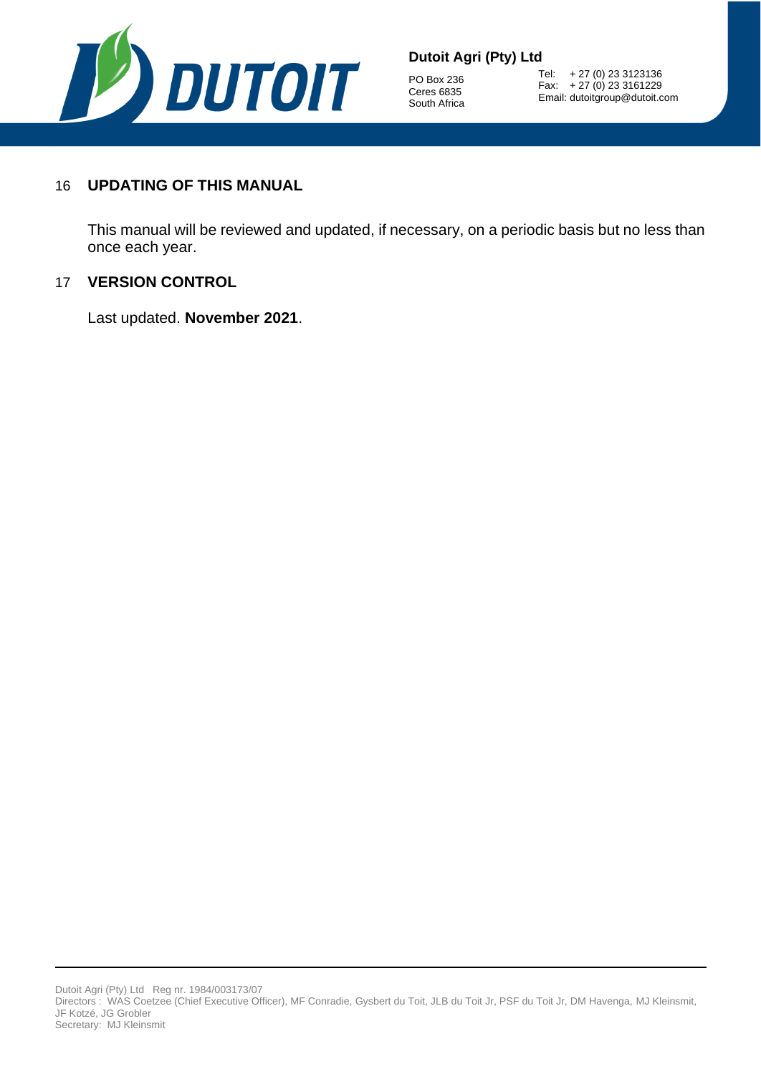

PO Box 236 Ceres 6835 South Africa

Tel: + 27 (0) 23 3123136 Fax: + 27 (0) 23 3161229 Email: dutoitgroup@dutoit.com

## 16 **UPDATING OF THIS MANUAL**

This manual will be reviewed and updated, if necessary, on a periodic basis but no less than once each year.

#### 17 **VERSION CONTROL**

Last updated. **November 2021**.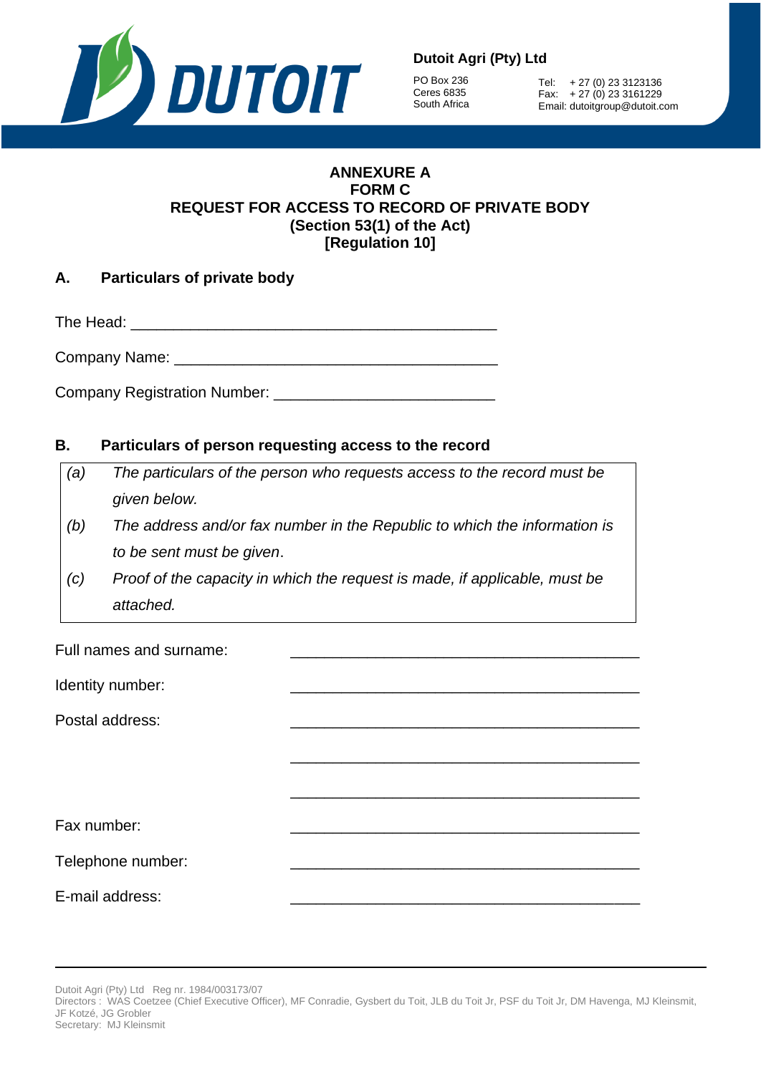

PO Box 236 Ceres 6835 South Africa

Tel: + 27 (0) 23 3123136 Fax: + 27 (0) 23 3161229 Email: dutoitgroup@dutoit.com

#### **ANNEXURE A FORM C REQUEST FOR ACCESS TO RECORD OF PRIVATE BODY (Section 53(1) of the Act) [Regulation 10]**

| А. | <b>Particulars of private body</b> |  |  |
|----|------------------------------------|--|--|
|    |                                    |  |  |

The Head: \_\_\_\_\_\_\_\_\_\_\_\_\_\_\_\_\_\_\_\_\_\_\_\_\_\_\_\_\_\_\_\_\_\_\_\_\_\_\_\_\_\_\_

Company Name:

Company Registration Number: \_\_\_\_\_\_\_\_\_\_\_\_\_\_\_\_\_\_\_\_\_\_\_\_\_\_

## **B. Particulars of person requesting access to the record**

- *(a) The particulars of the person who requests access to the record must be given below.*
- *(b) The address and/or fax number in the Republic to which the information is to be sent must be given*.
- *(c) Proof of the capacity in which the request is made, if applicable, must be attached.*

Full names and surname:

Identity number:

Postal address:

Fax number:

Telephone number:

E-mail address:

\_\_\_\_\_\_\_\_\_\_\_\_\_\_\_\_\_\_\_\_\_\_\_\_\_\_\_\_\_\_\_\_\_\_\_\_\_\_\_\_\_

\_\_\_\_\_\_\_\_\_\_\_\_\_\_\_\_\_\_\_\_\_\_\_\_\_\_\_\_\_\_\_\_\_\_\_\_\_\_\_\_\_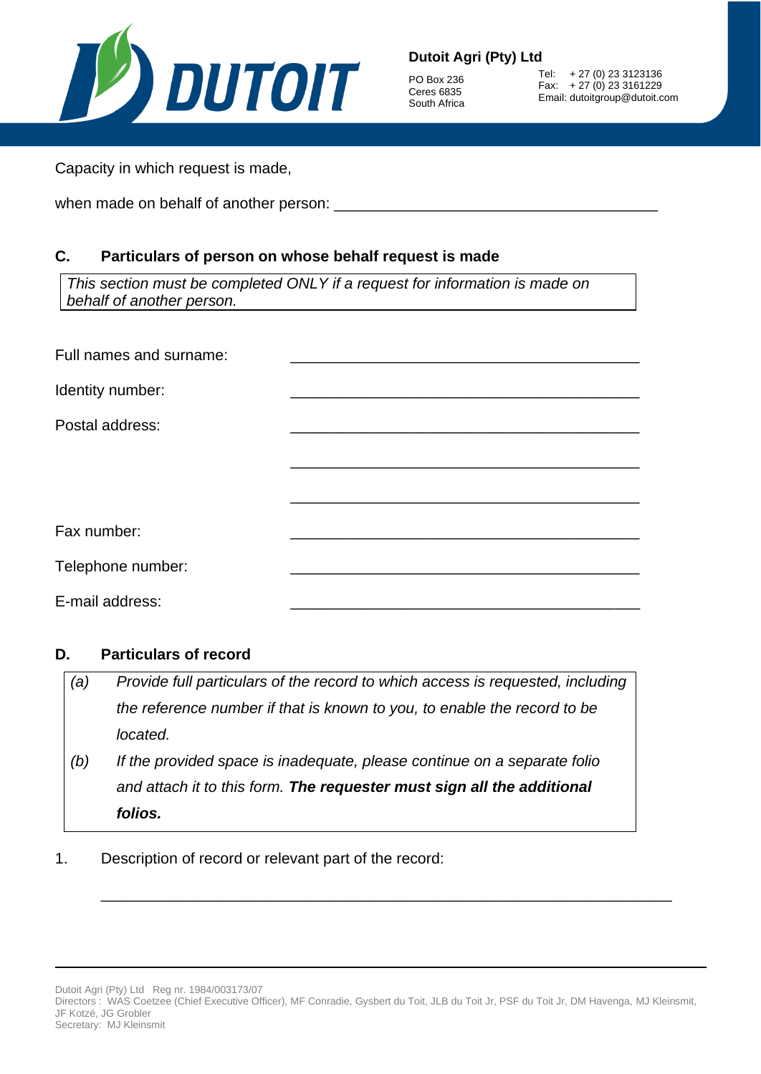

PO Box 236 Ceres 6835 South Africa

Tel: + 27 (0) 23 3123136 Fax: + 27 (0) 23 3161229 Email: dutoitgroup@dutoit.com

Capacity in which request is made,

when made on behalf of another person:

## **C. Particulars of person on whose behalf request is made**

*This section must be completed ONLY if a request for information is made on behalf of another person.*

| Full names and surname: |  |
|-------------------------|--|
| Identity number:        |  |
| Postal address:         |  |
|                         |  |
|                         |  |
|                         |  |
| Fax number:             |  |
| Telephone number:       |  |
| E-mail address:         |  |

#### **D. Particulars of record**

| (a) | Provide full particulars of the record to which access is requested, including |
|-----|--------------------------------------------------------------------------------|
|     | the reference number if that is known to you, to enable the record to be       |
|     | located.                                                                       |
| (b) | If the provided space is inadequate, please continue on a separate folio       |
|     | and attach it to this form. The requester must sign all the additional         |
|     | folios.                                                                        |

1. Description of record or relevant part of the record:

\_\_\_\_\_\_\_\_\_\_\_\_\_\_\_\_\_\_\_\_\_\_\_\_\_\_\_\_\_\_\_\_\_\_\_\_\_\_\_\_\_\_\_\_\_\_\_\_\_\_\_\_\_\_\_\_\_\_\_\_\_\_\_\_\_\_\_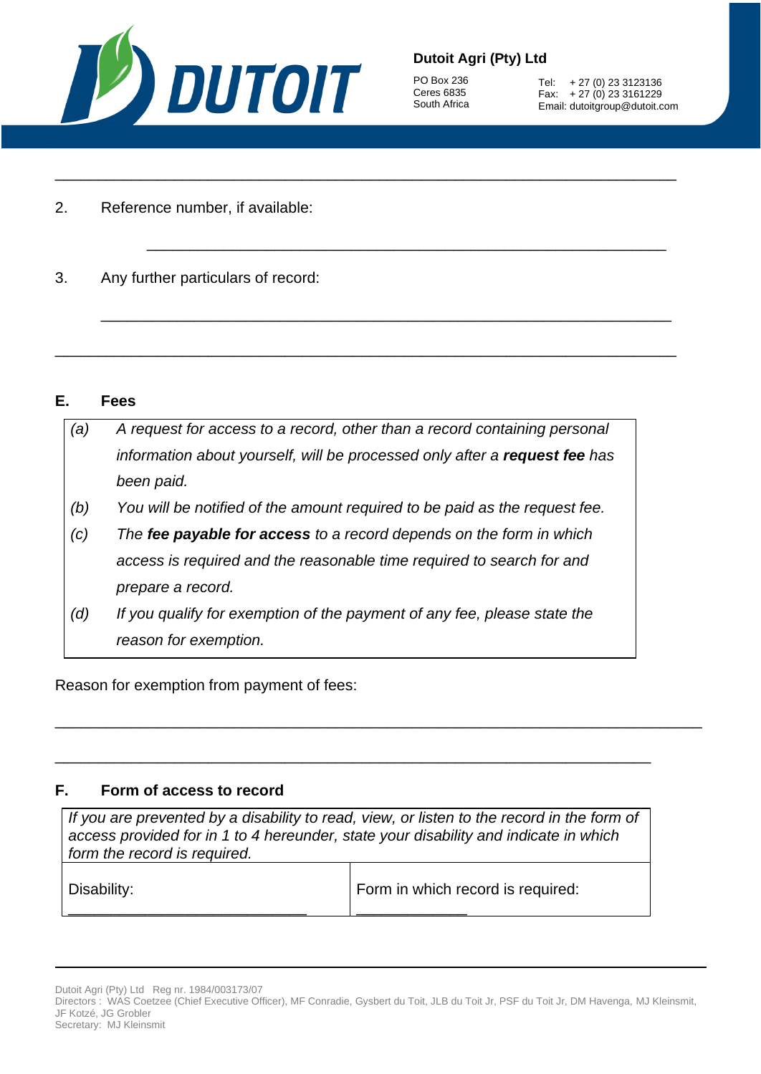

PO Box 236 Ceres 6835 South Africa

Tel: + 27 (0) 23 3123136 Fax: + 27 (0) 23 3161229 Email: dutoitgroup@dutoit.com

- 2. Reference number, if available:
- 3. Any further particulars of record:

#### **E. Fees**

| (a) | A request for access to a record, other than a record containing personal  |
|-----|----------------------------------------------------------------------------|
|     | information about yourself, will be processed only after a request fee has |
|     | been paid.                                                                 |
| (b) | You will be notified of the amount required to be paid as the request fee. |
| (c) | The fee payable for access to a record depends on the form in which        |
|     | access is required and the reasonable time required to search for and      |
|     | prepare a record.                                                          |
| (d) | If you qualify for exemption of the payment of any fee, please state the   |
|     | reason for exemption.                                                      |
|     |                                                                            |

\_\_\_\_\_\_\_\_\_\_\_\_\_\_\_\_\_\_\_\_\_\_\_\_\_\_\_\_\_\_\_\_\_\_\_\_\_\_\_\_\_\_\_\_\_\_\_\_\_\_\_\_\_\_\_\_\_\_\_\_\_\_\_\_\_\_\_\_\_\_\_\_\_

\_\_\_\_\_\_\_\_\_\_\_\_\_\_\_\_\_\_\_\_\_\_\_\_\_\_\_\_\_\_\_\_\_\_\_\_\_\_\_\_\_\_\_\_\_\_\_\_\_\_\_\_\_\_\_\_\_\_\_\_\_

\_\_\_\_\_\_\_\_\_\_\_\_\_\_\_\_\_\_\_\_\_\_\_\_\_\_\_\_\_\_\_\_\_\_\_\_\_\_\_\_\_\_\_\_\_\_\_\_\_\_\_\_\_\_\_\_\_\_\_\_\_\_\_\_\_\_\_

\_\_\_\_\_\_\_\_\_\_\_\_\_\_\_\_\_\_\_\_\_\_\_\_\_\_\_\_\_\_\_\_\_\_\_\_\_\_\_\_\_\_\_\_\_\_\_\_\_\_\_\_\_\_\_\_\_\_\_\_\_\_\_\_\_\_\_\_\_\_\_\_\_

Reason for exemption from payment of fees:

#### **F. Form of access to record**

\_\_\_\_\_\_\_\_\_\_\_\_\_\_\_\_\_\_\_\_\_\_\_\_\_\_\_\_

*If you are prevented by a disability to read, view, or listen to the record in the form of access provided for in 1 to 4 hereunder, state your disability and indicate in which form the record is required.* Disability: Form in which record is required:

\_\_\_\_\_\_\_\_\_\_\_\_\_\_\_\_\_\_\_\_\_\_\_\_\_\_\_\_\_\_\_\_\_\_\_\_\_\_\_\_\_\_\_\_\_\_\_\_\_\_\_\_\_\_\_\_\_\_\_\_\_\_\_\_\_\_\_\_\_\_

\_\_\_\_\_\_\_\_\_\_\_\_\_\_\_\_\_\_\_\_\_\_\_\_\_\_\_\_\_\_\_\_\_\_\_\_\_\_\_\_\_\_\_\_\_\_\_\_\_\_\_\_\_\_\_\_\_\_\_\_\_\_\_\_\_\_\_\_\_\_\_\_\_\_\_\_

Dutoit Agri (Pty) Ltd Reg nr. 1984/003173/07 Directors : WAS Coetzee (Chief Executive Officer), MF Conradie, Gysbert du Toit, JLB du Toit Jr, PSF du Toit Jr, DM Havenga, MJ Kleinsmit, JF Kotzé, JG Grobler Secretary: MJ Kleinsmit

\_\_\_\_\_\_\_\_\_\_\_\_\_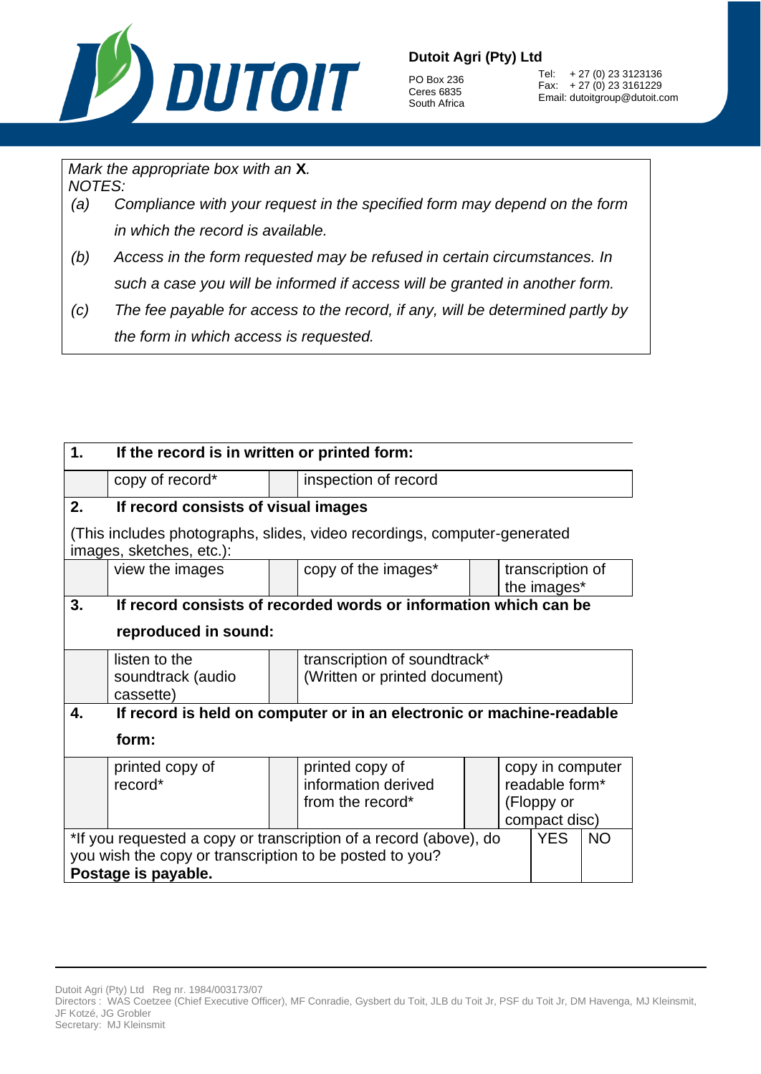

PO Box 236 Ceres 6835 South Africa

Tel: + 27 (0) 23 3123136 Fax: + 27 (0) 23 3161229 Email: dutoitgroup@dutoit.com

*Mark the appropriate box with an* **X***.*

*NOTES:*

- *(a) Compliance with your request in the specified form may depend on the form in which the record is available.*
- *(b) Access in the form requested may be refused in certain circumstances. In such a case you will be informed if access will be granted in another form.*
- *(c) The fee payable for access to the record, if any, will be determined partly by the form in which access is requested.*

| 1.                                                                                           | If the record is in written or printed form:                          |  |                                                                          |  |  |                                 |  |
|----------------------------------------------------------------------------------------------|-----------------------------------------------------------------------|--|--------------------------------------------------------------------------|--|--|---------------------------------|--|
|                                                                                              | copy of record*                                                       |  | inspection of record                                                     |  |  |                                 |  |
| 2.                                                                                           | If record consists of visual images                                   |  |                                                                          |  |  |                                 |  |
|                                                                                              | images, sketches, etc.):                                              |  | (This includes photographs, slides, video recordings, computer-generated |  |  |                                 |  |
|                                                                                              | view the images                                                       |  | copy of the images*                                                      |  |  | transcription of<br>the images* |  |
| 3.                                                                                           |                                                                       |  | If record consists of recorded words or information which can be         |  |  |                                 |  |
|                                                                                              | reproduced in sound:                                                  |  |                                                                          |  |  |                                 |  |
|                                                                                              | listen to the                                                         |  | transcription of soundtrack*                                             |  |  |                                 |  |
|                                                                                              | soundtrack (audio<br>cassette)                                        |  | (Written or printed document)                                            |  |  |                                 |  |
| 4.                                                                                           | If record is held on computer or in an electronic or machine-readable |  |                                                                          |  |  |                                 |  |
|                                                                                              | form:                                                                 |  |                                                                          |  |  |                                 |  |
|                                                                                              | printed copy of                                                       |  | printed copy of                                                          |  |  | copy in computer                |  |
|                                                                                              | record*                                                               |  | information derived                                                      |  |  | readable form*                  |  |
|                                                                                              |                                                                       |  | from the record*                                                         |  |  | (Floppy or<br>compact disc)     |  |
| *If you requested a copy or transcription of a record (above), do<br><b>YES</b><br><b>NO</b> |                                                                       |  |                                                                          |  |  |                                 |  |
| you wish the copy or transcription to be posted to you?                                      |                                                                       |  |                                                                          |  |  |                                 |  |
| Postage is payable.                                                                          |                                                                       |  |                                                                          |  |  |                                 |  |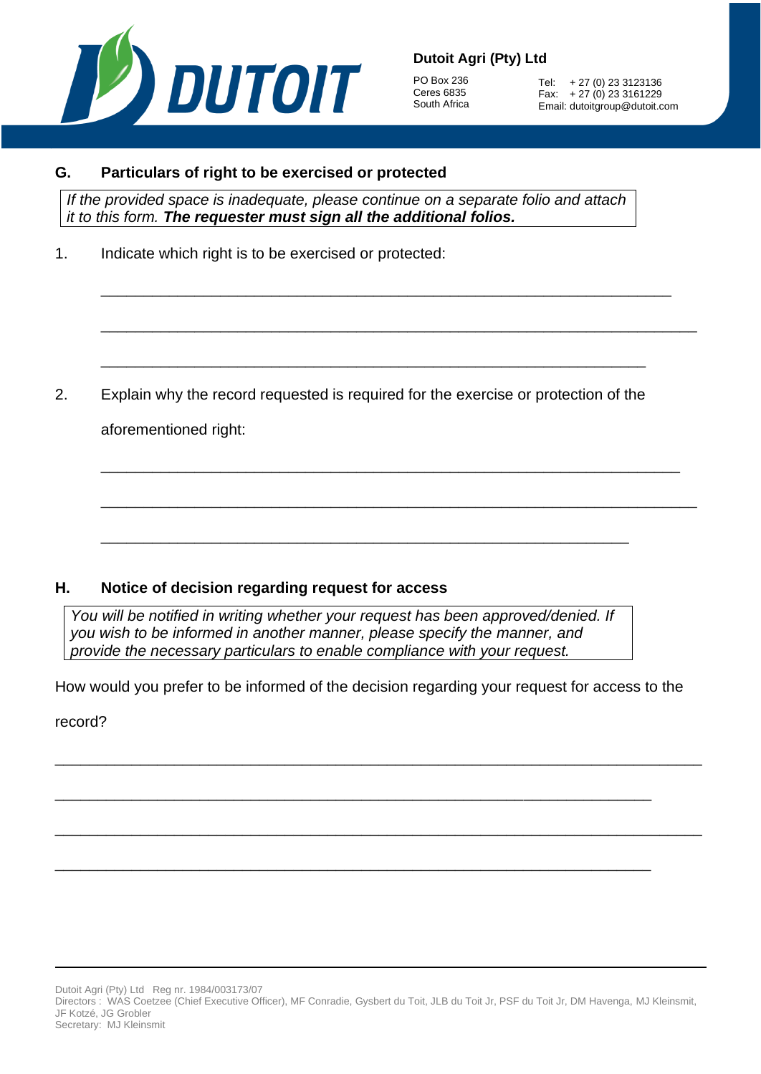

PO Box 236 Ceres 6835 South Africa

Tel: + 27 (0) 23 3123136 Fax: + 27 (0) 23 3161229 Email: dutoitgroup@dutoit.com

#### **G. Particulars of right to be exercised or protected**

*If the provided space is inadequate, please continue on a separate folio and attach it to this form. The requester must sign all the additional folios.*

\_\_\_\_\_\_\_\_\_\_\_\_\_\_\_\_\_\_\_\_\_\_\_\_\_\_\_\_\_\_\_\_\_\_\_\_\_\_\_\_\_\_\_\_\_\_\_\_\_\_\_\_\_\_\_\_\_\_\_\_\_\_\_\_\_\_\_

\_\_\_\_\_\_\_\_\_\_\_\_\_\_\_\_\_\_\_\_\_\_\_\_\_\_\_\_\_\_\_\_\_\_\_\_\_\_\_\_\_\_\_\_\_\_\_\_\_\_\_\_\_\_\_\_\_\_\_\_\_\_\_\_

\_\_\_\_\_\_\_\_\_\_\_\_\_\_\_\_\_\_\_\_\_\_\_\_\_\_\_\_\_\_\_\_\_\_\_\_\_\_\_\_\_\_\_\_\_\_\_\_\_\_\_\_\_\_\_\_\_\_\_\_\_\_\_\_\_\_\_\_\_\_

\_\_\_\_\_\_\_\_\_\_\_\_\_\_\_\_\_\_\_\_\_\_\_\_\_\_\_\_\_\_\_\_\_\_\_\_\_\_\_\_\_\_\_\_\_\_\_\_\_\_\_\_\_\_\_\_\_\_\_\_\_\_\_\_\_\_\_\_

\_\_\_\_\_\_\_\_\_\_\_\_\_\_\_\_\_\_\_\_\_\_\_\_\_\_\_\_\_\_\_\_\_\_\_\_\_\_\_\_\_\_\_\_\_\_\_\_\_\_\_\_\_\_\_\_\_\_\_\_\_\_\_\_\_\_\_\_\_\_

1. Indicate which right is to be exercised or protected:

2. Explain why the record requested is required for the exercise or protection of the aforementioned right:

\_\_\_\_\_\_\_\_\_\_\_\_\_\_\_\_\_\_\_\_\_\_\_\_\_\_\_\_\_\_\_\_\_\_\_\_\_\_\_\_\_\_\_\_\_\_\_\_\_\_\_\_\_\_\_\_\_\_\_\_\_\_

## **H. Notice of decision regarding request for access**

*You will be notified in writing whether your request has been approved/denied. If you wish to be informed in another manner, please specify the manner, and provide the necessary particulars to enable compliance with your request.*

How would you prefer to be informed of the decision regarding your request for access to the

\_\_\_\_\_\_\_\_\_\_\_\_\_\_\_\_\_\_\_\_\_\_\_\_\_\_\_\_\_\_\_\_\_\_\_\_\_\_\_\_\_\_\_\_\_\_\_\_\_\_\_\_\_\_\_\_\_\_\_\_\_\_\_\_\_\_\_\_\_\_\_\_\_\_\_\_

\_\_\_\_\_\_\_\_\_\_\_\_\_\_\_\_\_\_\_\_\_\_\_\_\_\_\_\_\_\_\_\_\_\_\_\_\_\_\_\_\_\_\_\_\_\_\_\_\_\_\_\_\_\_\_\_\_\_\_\_\_\_\_\_\_\_\_\_\_\_\_\_\_\_\_\_

\_\_\_\_\_\_\_\_\_\_\_\_\_\_\_\_\_\_\_\_\_\_\_\_\_\_\_\_\_\_\_\_\_\_\_\_\_\_\_\_\_\_\_\_\_\_\_\_\_\_\_\_\_\_\_\_\_\_\_\_\_\_\_\_\_\_\_\_\_\_

\_\_\_\_\_\_\_\_\_\_\_\_\_\_\_\_\_\_\_\_\_\_\_\_\_\_\_\_\_\_\_\_\_\_\_\_\_\_\_\_\_\_\_\_\_\_\_\_\_\_\_\_\_\_\_\_\_\_\_\_\_\_\_\_\_\_\_\_\_\_

record?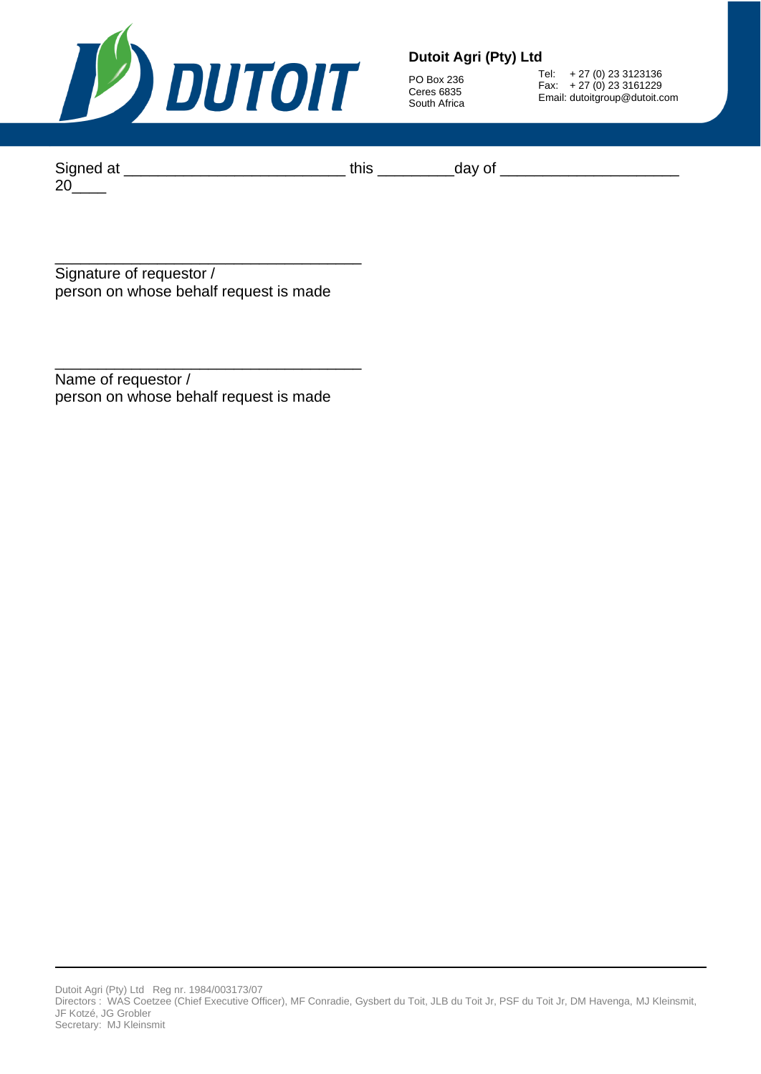

PO Box 236 Ceres 6835 South Africa

Tel: + 27 (0) 23 3123136 Fax: + 27 (0) 23 3161229 Email: dutoitgroup@dutoit.com

Signed at \_\_\_\_\_\_\_\_\_\_\_\_\_\_\_\_\_\_\_\_\_\_\_\_\_\_ this \_\_\_\_\_\_\_\_\_day of \_\_\_\_\_\_\_\_\_\_\_\_\_\_\_\_\_\_\_\_\_  $20$ <sub>\_\_\_\_</sub>

\_\_\_\_\_\_\_\_\_\_\_\_\_\_\_\_\_\_\_\_\_\_\_\_\_\_\_\_\_\_\_\_\_\_\_\_ Signature of requestor / person on whose behalf request is made

Name of requestor / person on whose behalf request is made

\_\_\_\_\_\_\_\_\_\_\_\_\_\_\_\_\_\_\_\_\_\_\_\_\_\_\_\_\_\_\_\_\_\_\_\_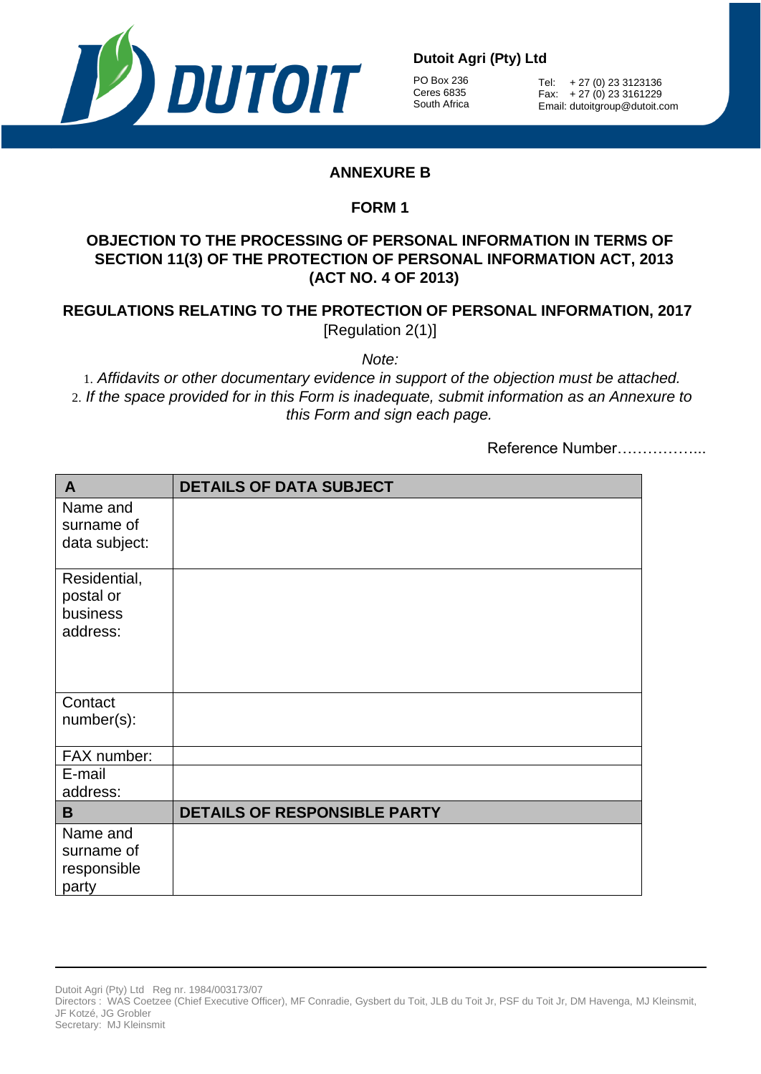

PO Box 236 Ceres 6835 South Africa

Tel: + 27 (0) 23 3123136 Fax: + 27 (0) 23 3161229 Email: dutoitgroup@dutoit.com

## **ANNEXURE B**

## **FORM 1**

## **OBJECTION TO THE PROCESSING OF PERSONAL INFORMATION IN TERMS OF SECTION 11(3) OF THE PROTECTION OF PERSONAL INFORMATION ACT, 2013 (ACT NO. 4 OF 2013)**

## **REGULATIONS RELATING TO THE PROTECTION OF PERSONAL INFORMATION, 2017** [Regulation 2(1)]

*Note:*

1. *Affidavits or other documentary evidence in support of the objection must be attached.* 2. *If the space provided for in this Form is inadequate, submit information as an Annexure to this Form and sign each page.*

Reference Number……………...

| A                           | <b>DETAILS OF DATA SUBJECT</b> |
|-----------------------------|--------------------------------|
| Name and                    |                                |
| surname of<br>data subject: |                                |
|                             |                                |
| Residential,                |                                |
| postal or<br>business       |                                |
| address:                    |                                |
|                             |                                |
|                             |                                |
| Contact                     |                                |
| number(s):                  |                                |
| FAX number:                 |                                |
| E-mail                      |                                |
| address:                    |                                |
| B                           | DETAILS OF RESPONSIBLE PARTY   |
| Name and                    |                                |
| surname of                  |                                |
| responsible<br>party        |                                |
|                             |                                |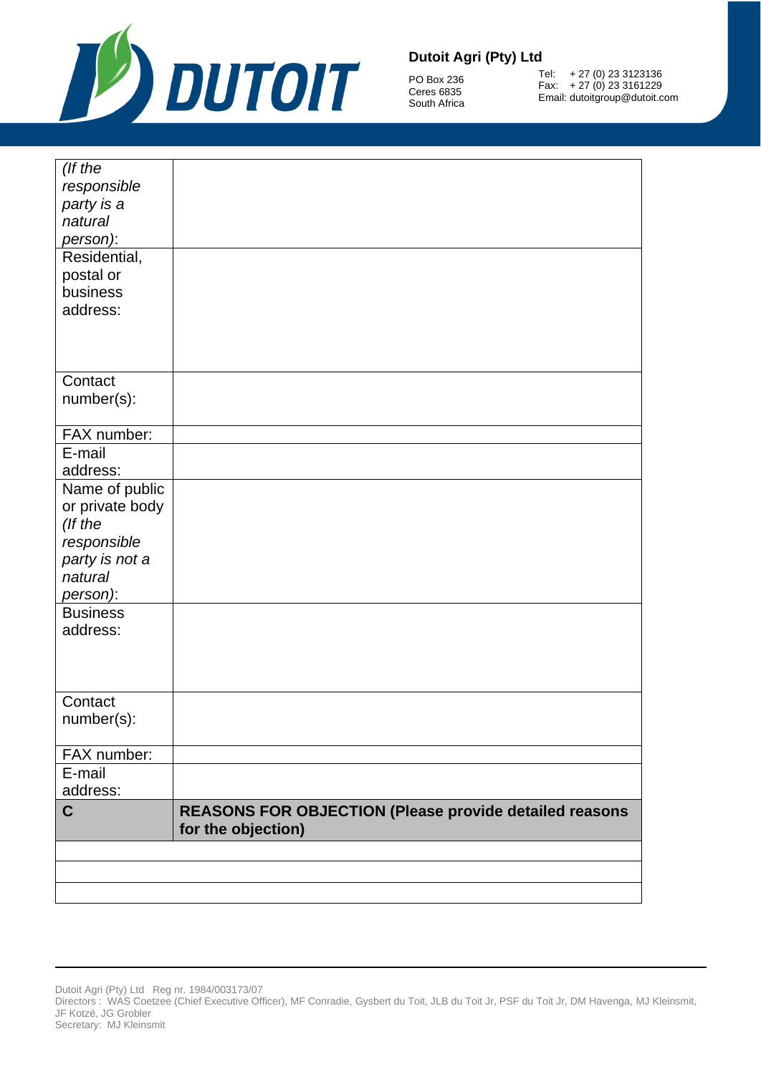

PO Box 236 Ceres 6835 South Africa

Tel: + 27 (0) 23 3123136 Fax: + 27 (0) 23 3161229 Email: dutoitgroup@dutoit.com

| (If the<br>responsible<br>party is a<br>natural<br>person):<br>Residential,<br>postal or<br>business<br>address:                    |                                                                                     |
|-------------------------------------------------------------------------------------------------------------------------------------|-------------------------------------------------------------------------------------|
| Contact<br>number(s):                                                                                                               |                                                                                     |
| FAX number:                                                                                                                         |                                                                                     |
| E-mail<br>address:                                                                                                                  |                                                                                     |
| Name of public<br>or private body<br>(If the<br>responsible<br>party is not a<br>natural<br>person):<br><b>Business</b><br>address: |                                                                                     |
|                                                                                                                                     |                                                                                     |
| Contact<br>number(s):                                                                                                               |                                                                                     |
| FAX number:                                                                                                                         |                                                                                     |
| E-mail<br>address:                                                                                                                  |                                                                                     |
| C                                                                                                                                   | <b>REASONS FOR OBJECTION (Please provide detailed reasons</b><br>for the objection) |
|                                                                                                                                     |                                                                                     |
|                                                                                                                                     |                                                                                     |
|                                                                                                                                     |                                                                                     |
|                                                                                                                                     |                                                                                     |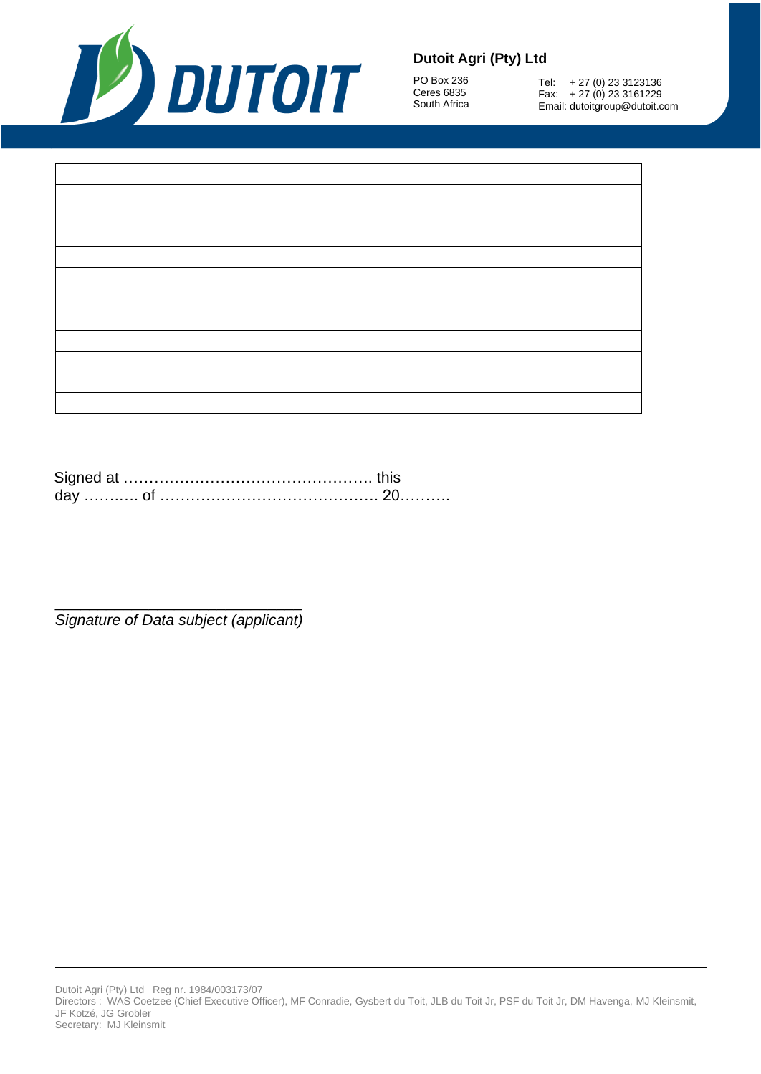

PO Box 236 Ceres 6835 South Africa

Tel: + 27 (0) 23 3123136 Fax: + 27 (0) 23 3161229 Email: dutoitgroup@dutoit.com

Signed at ………………………………………………………… this day …….…. of ……………………………………. 20……….

\_\_\_\_\_\_\_\_\_\_\_\_\_\_\_\_\_\_\_\_\_\_\_\_\_\_\_\_\_ *Signature of Data subject (applicant)*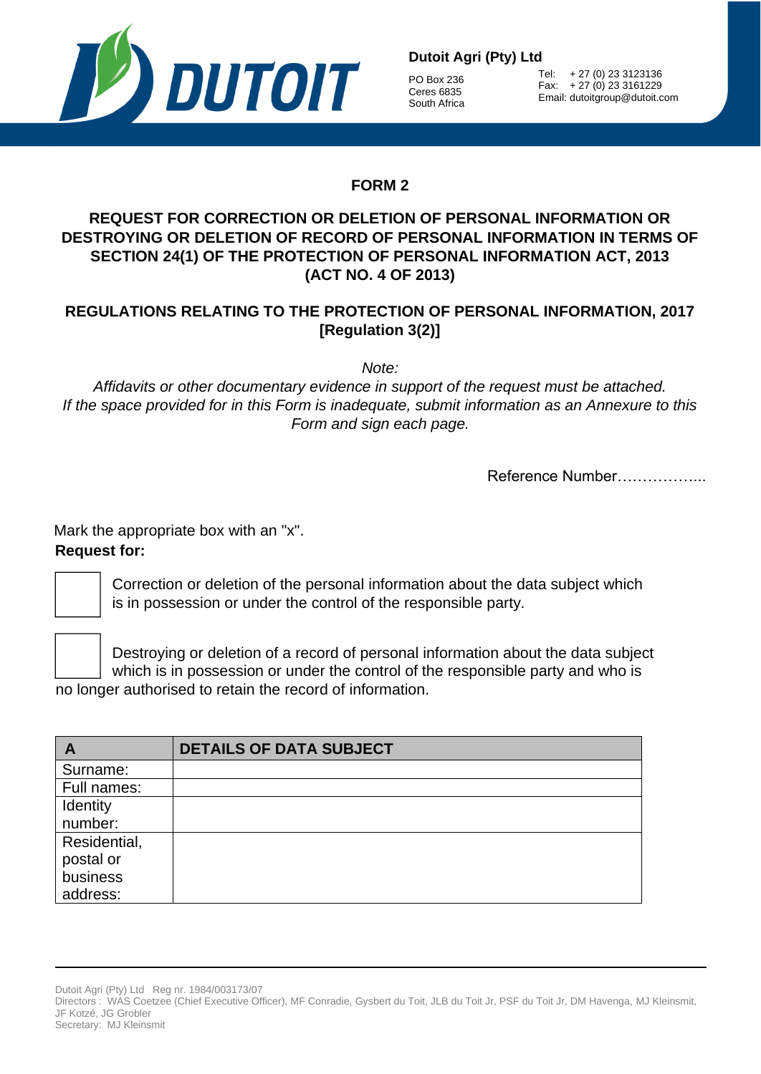

PO Box 236 Ceres 6835 South Africa

Tel: + 27 (0) 23 3123136 Fax: + 27 (0) 23 3161229 Email: dutoitgroup@dutoit.com

# **FORM 2**

## **REQUEST FOR CORRECTION OR DELETION OF PERSONAL INFORMATION OR DESTROYING OR DELETION OF RECORD OF PERSONAL INFORMATION IN TERMS OF SECTION 24(1) OF THE PROTECTION OF PERSONAL INFORMATION ACT, 2013 (ACT NO. 4 OF 2013)**

## **REGULATIONS RELATING TO THE PROTECTION OF PERSONAL INFORMATION, 2017 [Regulation 3(2)]**

*Note:*

*Affidavits or other documentary evidence in support of the request must be attached. If the space provided for in this Form is inadequate, submit information as an Annexure to this Form and sign each page.*

Reference Number……………...

Mark the appropriate box with an "x". **Request for:**

Correction or deletion of the personal information about the data subject which is in possession or under the control of the responsible party.

Destroying or deletion of a record of personal information about the data subject which is in possession or under the control of the responsible party and who is no longer authorised to retain the record of information.

| $\mathbf{A}$ | <b>DETAILS OF DATA SUBJECT</b> |
|--------------|--------------------------------|
| Surname:     |                                |
| Full names:  |                                |
| Identity     |                                |
| number:      |                                |
| Residential, |                                |
| postal or    |                                |
| business     |                                |
| address:     |                                |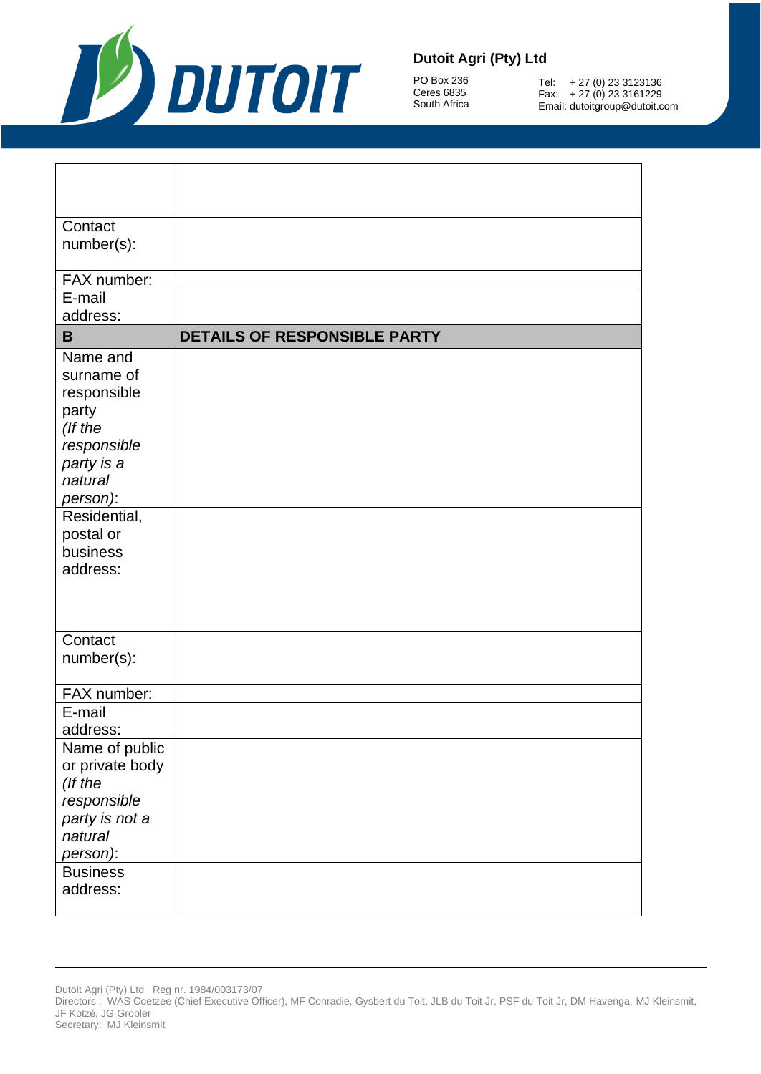

PO Box 236 Ceres 6835 South Africa

Tel: + 27 (0) 23 3123136 Fax: + 27 (0) 23 3161229 Email: dutoitgroup@dutoit.com

| Contact                    |                                     |
|----------------------------|-------------------------------------|
| number(s):                 |                                     |
| FAX number:                |                                     |
| E-mail                     |                                     |
| address:                   |                                     |
| B                          | <b>DETAILS OF RESPONSIBLE PARTY</b> |
| Name and                   |                                     |
| surname of                 |                                     |
| responsible                |                                     |
| party<br>(If the           |                                     |
| responsible                |                                     |
| party is a                 |                                     |
| natural                    |                                     |
| person):                   |                                     |
| Residential,               |                                     |
| postal or                  |                                     |
| business                   |                                     |
| address:                   |                                     |
|                            |                                     |
|                            |                                     |
| Contact                    |                                     |
| number(s):                 |                                     |
|                            |                                     |
| FAX number:                |                                     |
| E-mail                     |                                     |
| address:                   |                                     |
| Name of public             |                                     |
| or private body<br>(If the |                                     |
| responsible                |                                     |
| party is not a             |                                     |
| natural                    |                                     |
| person):                   |                                     |
| <b>Business</b>            |                                     |
| address:                   |                                     |
|                            |                                     |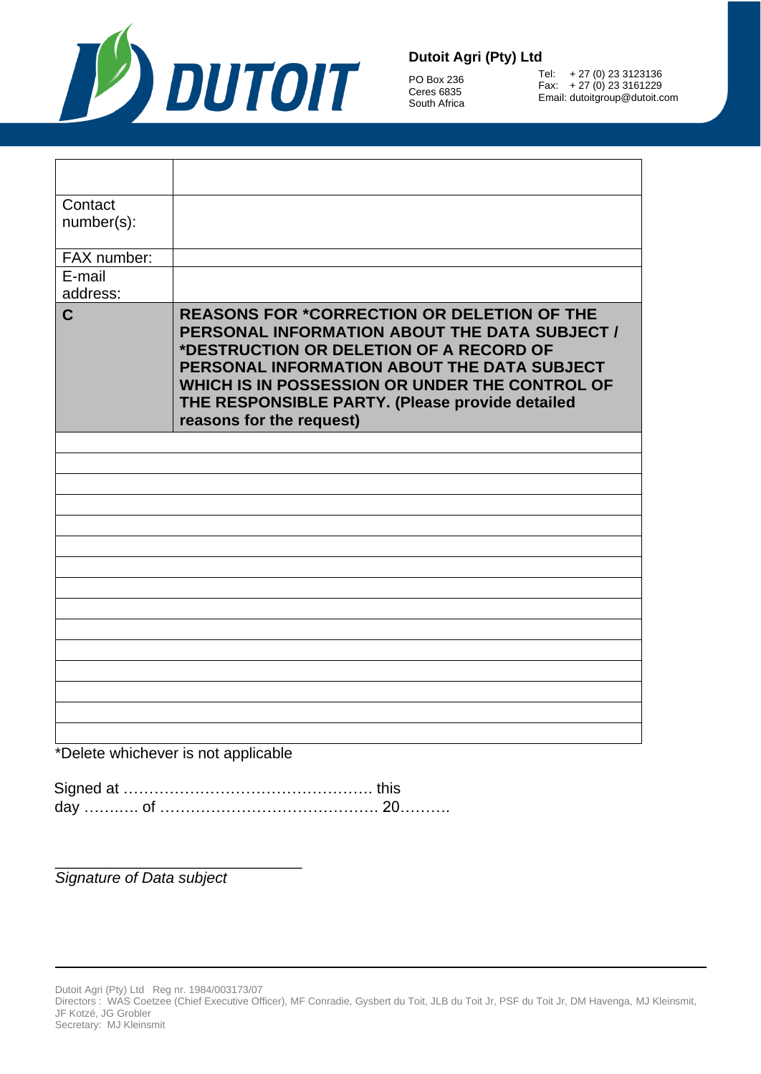

PO Box 236 Ceres 6835 South Africa

Tel: + 27 (0) 23 3123136 Fax: + 27 (0) 23 3161229 Email: dutoitgroup@dutoit.com

| Contact              |                                                                                                                                                                                                                                                                                                                               |
|----------------------|-------------------------------------------------------------------------------------------------------------------------------------------------------------------------------------------------------------------------------------------------------------------------------------------------------------------------------|
| number(s):           |                                                                                                                                                                                                                                                                                                                               |
|                      |                                                                                                                                                                                                                                                                                                                               |
| FAX number:          |                                                                                                                                                                                                                                                                                                                               |
| $\overline{E}$ -mail |                                                                                                                                                                                                                                                                                                                               |
| address:             |                                                                                                                                                                                                                                                                                                                               |
| $\mathbf C$          | <b>REASONS FOR *CORRECTION OR DELETION OF THE</b><br>PERSONAL INFORMATION ABOUT THE DATA SUBJECT /<br>*DESTRUCTION OR DELETION OF A RECORD OF<br>PERSONAL INFORMATION ABOUT THE DATA SUBJECT<br>WHICH IS IN POSSESSION OR UNDER THE CONTROL OF<br>THE RESPONSIBLE PARTY. (Please provide detailed<br>reasons for the request) |
|                      |                                                                                                                                                                                                                                                                                                                               |
|                      |                                                                                                                                                                                                                                                                                                                               |
|                      |                                                                                                                                                                                                                                                                                                                               |
|                      |                                                                                                                                                                                                                                                                                                                               |
|                      |                                                                                                                                                                                                                                                                                                                               |
|                      |                                                                                                                                                                                                                                                                                                                               |
|                      |                                                                                                                                                                                                                                                                                                                               |
|                      |                                                                                                                                                                                                                                                                                                                               |
|                      |                                                                                                                                                                                                                                                                                                                               |
|                      |                                                                                                                                                                                                                                                                                                                               |
|                      |                                                                                                                                                                                                                                                                                                                               |
|                      |                                                                                                                                                                                                                                                                                                                               |
|                      |                                                                                                                                                                                                                                                                                                                               |
|                      |                                                                                                                                                                                                                                                                                                                               |
|                      |                                                                                                                                                                                                                                                                                                                               |
|                      | $*D$                                                                                                                                                                                                                                                                                                                          |

\*Delete whichever is not applicable

\_\_\_\_\_\_\_\_\_\_\_\_\_\_\_\_\_\_\_\_\_\_\_\_\_\_\_\_\_

*Signature of Data subject*